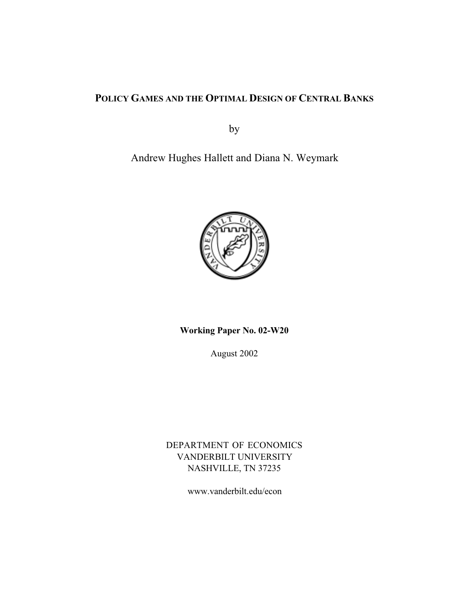### **POLICY GAMES AND THE OPTIMAL DESIGN OF CENTRAL BANKS**

by

Andrew Hughes Hallett and Diana N. Weymark



**Working Paper No. 02-W20**

August 2002

DEPARTMENT OF ECONOMICS VANDERBILT UNIVERSITY NASHVILLE, TN 37235

www.vanderbilt.edu/econ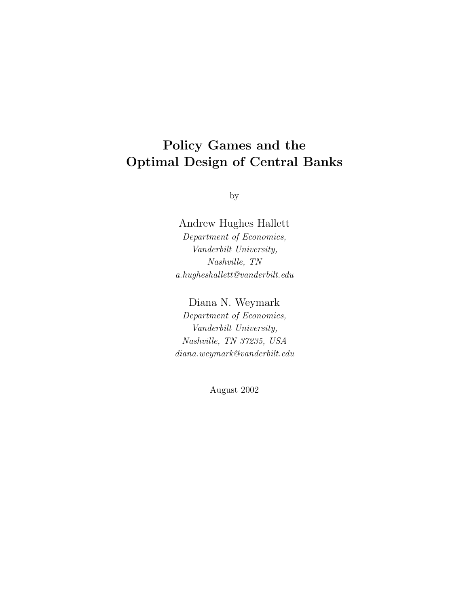## **Policy Games and the Optimal Design of Central Banks**

by

Andrew Hughes Hallett Department of Economics, Vanderbilt University, Nashville, TN  $a.hugheshallett@vanderbilt.edu\\$ 

Diana N. Weymark

Department of Economics, Vanderbilt University, Nashville, TN 37235, USA diana.weymark@vanderbilt.edu

August 2002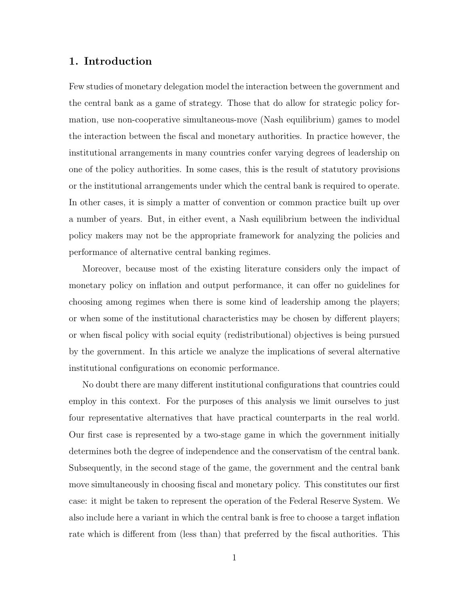#### **1. Introduction**

Few studies of monetary delegation model the interaction between the government and the central bank as a game of strategy. Those that do allow for strategic policy formation, use non-cooperative simultaneous-move (Nash equilibrium) games to model the interaction between the fiscal and monetary authorities. In practice however, the institutional arrangements in many countries confer varying degrees of leadership on one of the policy authorities. In some cases, this is the result of statutory provisions or the institutional arrangements under which the central bank is required to operate. In other cases, it is simply a matter of convention or common practice built up over a number of years. But, in either event, a Nash equilibrium between the individual policy makers may not be the appropriate framework for analyzing the policies and performance of alternative central banking regimes.

Moreover, because most of the existing literature considers only the impact of monetary policy on inflation and output performance, it can offer no guidelines for choosing among regimes when there is some kind of leadership among the players; or when some of the institutional characteristics may be chosen by different players; or when fiscal policy with social equity (redistributional) objectives is being pursued by the government. In this article we analyze the implications of several alternative institutional configurations on economic performance.

No doubt there are many different institutional configurations that countries could employ in this context. For the purposes of this analysis we limit ourselves to just four representative alternatives that have practical counterparts in the real world. Our first case is represented by a two-stage game in which the government initially determines both the degree of independence and the conservatism of the central bank. Subsequently, in the second stage of the game, the government and the central bank move simultaneously in choosing fiscal and monetary policy. This constitutes our first case: it might be taken to represent the operation of the Federal Reserve System. We also include here a variant in which the central bank is free to choose a target inflation rate which is different from (less than) that preferred by the fiscal authorities. This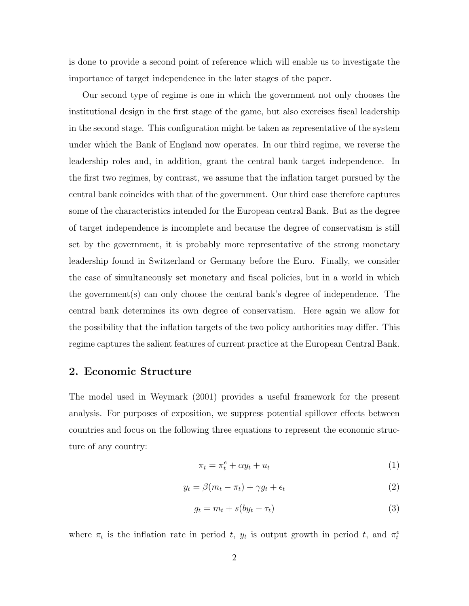is done to provide a second point of reference which will enable us to investigate the importance of target independence in the later stages of the paper.

Our second type of regime is one in which the government not only chooses the institutional design in the first stage of the game, but also exercises fiscal leadership in the second stage. This configuration might be taken as representative of the system under which the Bank of England now operates. In our third regime, we reverse the leadership roles and, in addition, grant the central bank target independence. In the first two regimes, by contrast, we assume that the inflation target pursued by the central bank coincides with that of the government. Our third case therefore captures some of the characteristics intended for the European central Bank. But as the degree of target independence is incomplete and because the degree of conservatism is still set by the government, it is probably more representative of the strong monetary leadership found in Switzerland or Germany before the Euro. Finally, we consider the case of simultaneously set monetary and fiscal policies, but in a world in which the government(s) can only choose the central bank's degree of independence. The central bank determines its own degree of conservatism. Here again we allow for the possibility that the inflation targets of the two policy authorities may differ. This regime captures the salient features of current practice at the European Central Bank.

#### **2. Economic Structure**

The model used in Weymark (2001) provides a useful framework for the present analysis. For purposes of exposition, we suppress potential spillover effects between countries and focus on the following three equations to represent the economic structure of any country:

$$
\pi_t = \pi_t^e + \alpha y_t + u_t \tag{1}
$$

$$
y_t = \beta(m_t - \pi_t) + \gamma g_t + \epsilon_t \tag{2}
$$

$$
g_t = m_t + s(by_t - \tau_t)
$$
\n<sup>(3)</sup>

where  $\pi_t$  is the inflation rate in period t,  $y_t$  is output growth in period t, and  $\pi_t^e$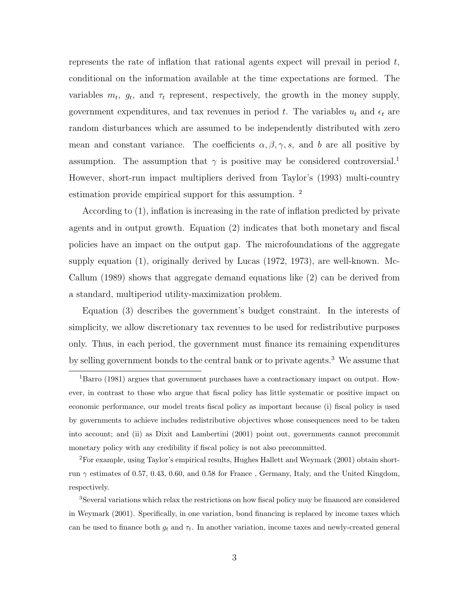represents the rate of inflation that rational agents expect will prevail in period  $t$ , conditional on the information available at the time expectations are formed. The variables  $m_t$ ,  $g_t$ , and  $\tau_t$  represent, respectively, the growth in the money supply, government expenditures, and tax revenues in period  $t$ . The variables  $u_t$  and  $\epsilon_t$  are random disturbances which are assumed to be independently distributed with zero mean and constant variance. The coefficients  $\alpha, \beta, \gamma, s$ , and b are all positive by assumption. The assumption that  $\gamma$  is positive may be considered controversial.<sup>1</sup> However, short-run impact multipliers derived from Taylor's (1993) multi-country estimation provide empirical support for this assumption. <sup>2</sup>

According to (1), inflation is increasing in the rate of inflation predicted by private agents and in output growth. Equation (2) indicates that both monetary and fiscal policies have an impact on the output gap. The microfoundations of the aggregate supply equation (1), originally derived by Lucas (1972, 1973), are well-known. Mc-Callum (1989) shows that aggregate demand equations like (2) can be derived from a standard, multiperiod utility-maximization problem.

Equation (3) describes the government's budget constraint. In the interests of simplicity, we allow discretionary tax revenues to be used for redistributive purposes only. Thus, in each period, the government must finance its remaining expenditures by selling government bonds to the central bank or to private agents.<sup>3</sup> We assume that

<sup>2</sup>For example, using Taylor's empirical results, Hughes Hallett andWeymark (2001) obtain shortrun  $\gamma$  estimates of 0.57, 0.43, 0.60, and 0.58 for France, Germany, Italy, and the United Kingdom, respectively.

<sup>&</sup>lt;sup>1</sup>Barro (1981) argues that government purchases have a contractionary impact on output. However, in contrast to those who argue that fiscal policy has little systematic or positive impact on economic performance, our model treats fiscal policy as important because (i) fiscal policy is used by governments to achieve includes redistributive objectives whose consequences need to be taken into account; and (ii) as Dixit and Lambertini (2001) point out, governments cannot precommit monetary policy with any credibility if fiscal policy is not also precommitted.

<sup>&</sup>lt;sup>3</sup>Several variations which relax the restrictions on how fiscal policy may be financed are considered in Weymark (2001). Specifically, in one variation, bond financing is replaced by income taxes which can be used to finance both  $g_t$  and  $\tau_t$ . In another variation, income taxes and newly-created general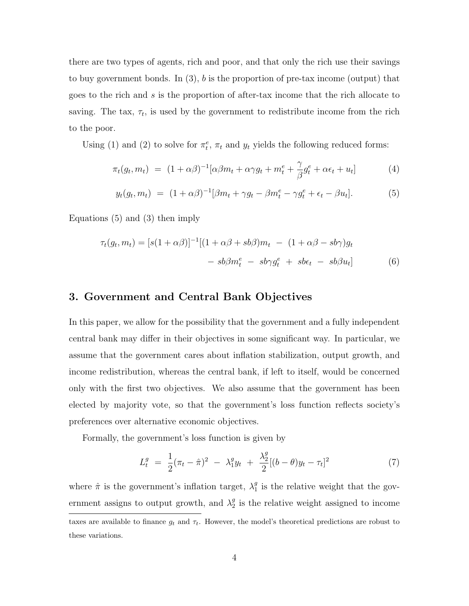there are two types of agents, rich and poor, and that only the rich use their savings to buy government bonds. In  $(3)$ , b is the proportion of pre-tax income (output) that goes to the rich and s is the proportion of after-tax income that the rich allocate to saving. The tax,  $\tau_t$ , is used by the government to redistribute income from the rich to the poor.

Using (1) and (2) to solve for  $\pi_t^e$ ,  $\pi_t$  and  $y_t$  yields the following reduced forms:

$$
\pi_t(g_t, m_t) = (1 + \alpha \beta)^{-1} [\alpha \beta m_t + \alpha \gamma g_t + m_t^e + \frac{\gamma}{\beta} g_t^e + \alpha \epsilon_t + u_t]
$$
(4)

$$
y_t(g_t, m_t) = (1 + \alpha \beta)^{-1} [\beta m_t + \gamma g_t - \beta m_t^e - \gamma g_t^e + \epsilon_t - \beta u_t]. \tag{5}
$$

Equations (5) and (3) then imply

$$
\tau_t(g_t, m_t) = [s(1 + \alpha \beta)]^{-1}[(1 + \alpha \beta + sb\beta)m_t - (1 + \alpha \beta - sb\gamma)g_t
$$

$$
- sb\beta m_t^e - sb\gamma g_t^e + sb\epsilon_t - sb\beta u_t]
$$
(6)

#### **3. Government and Central Bank Objectives**

In this paper, we allow for the possibility that the government and a fully independent central bank may differ in their objectives in some significant way. In particular, we assume that the government cares about inflation stabilization, output growth, and income redistribution, whereas the central bank, if left to itself, would be concerned only with the first two objectives. We also assume that the government has been elected by majority vote, so that the government's loss function reflects society's preferences over alternative economic objectives.

Formally, the government's loss function is given by

$$
L_t^g = \frac{1}{2} (\pi_t - \hat{\pi})^2 - \lambda_1^g y_t + \frac{\lambda_2^g}{2} [(b - \theta)y_t - \tau_t]^2
$$
\n(7)

where  $\hat{\pi}$  is the government's inflation target,  $\lambda_1^g$  is the relative weight that the government assigns to output growth, and  $\lambda_2^g$  is the relative weight assigned to income taxes are available to finance  $g_t$  and  $\tau_t$ . However, the model's theoretical predictions are robust to these variations.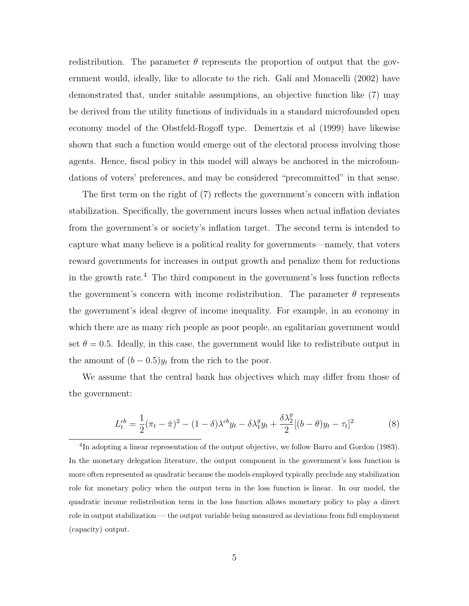redistribution. The parameter  $\theta$  represents the proportion of output that the government would, ideally, like to allocate to the rich. Galí and Monacelli (2002) have demonstrated that, under suitable assumptions, an objective function like (7) may be derived from the utility functions of individuals in a standard microfounded open economy model of the Obstfeld-Rogoff type. Demertzis et al (1999) have likewise shown that such a function would emerge out of the electoral process involving those agents. Hence, fiscal policy in this model will always be anchored in the microfoundations of voters' preferences, and may be considered "precommitted" in that sense.

The first term on the right of (7) reflects the government's concern with inflation stabilization. Specifically, the government incurs losses when actual inflation deviates from the government's or society's inflation target. The second term is intended to capture what many believe is a political reality for governments—namely, that voters reward governments for increases in output growth and penalize them for reductions in the growth rate.<sup>4</sup> The third component in the government's loss function reflects the government's concern with income redistribution. The parameter  $\theta$  represents the government's ideal degree of income inequality. For example, in an economy in which there are as many rich people as poor people, an egalitarian government would set  $\theta = 0.5$ . Ideally, in this case, the government would like to redistribute output in the amount of  $(b-0.5)y_t$  from the rich to the poor.

We assume that the central bank has objectives which may differ from those of the government:

$$
L_t^{cb} = \frac{1}{2}(\pi_t - \hat{\pi})^2 - (1 - \delta)\lambda^{cb}y_t - \delta\lambda_1^g y_t + \frac{\delta\lambda_2^g}{2}[(b - \theta)y_t - \tau_t]^2
$$
 (8)

<sup>&</sup>lt;sup>4</sup>In adopting a linear representation of the output objective, we follow Barro and Gordon (1983). In the monetary delegation literature, the output component in the government's loss function is more often represented as quadratic because the models employed typically preclude any stabilization role for monetary policy when the output term in the loss function is linear. In our model, the quadratic income redistribution term in the loss function allows monetary policy to play a direct role in output stabilization — the output variable being measuredas deviations from full employment (capacity) output.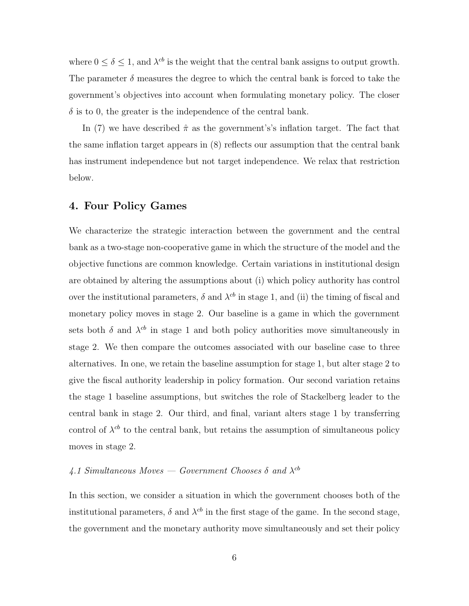where  $0 \le \delta \le 1$ , and  $\lambda^{cb}$  is the weight that the central bank assigns to output growth. The parameter  $\delta$  measures the degree to which the central bank is forced to take the government's objectives into account when formulating monetary policy. The closer  $\delta$  is to 0, the greater is the independence of the central bank.

In (7) we have described  $\hat{\pi}$  as the government's's inflation target. The fact that the same inflation target appears in (8) reflects our assumption that the central bank has instrument independence but not target independence. We relax that restriction below.

#### **4. Four Policy Games**

We characterize the strategic interaction between the government and the central bank as a two-stage non-cooperative game in which the structure of the model and the objective functions are common knowledge. Certain variations in institutional design are obtained by altering the assumptions about (i) which policy authority has control over the institutional parameters,  $\delta$  and  $\lambda^{cb}$  in stage 1, and (ii) the timing of fiscal and monetary policy moves in stage 2. Our baseline is a game in which the government sets both  $\delta$  and  $\lambda^{cb}$  in stage 1 and both policy authorities move simultaneously in stage 2. We then compare the outcomes associated with our baseline case to three alternatives. In one, we retain the baseline assumption for stage 1, but alter stage 2 to give the fiscal authority leadership in policy formation. Our second variation retains the stage 1 baseline assumptions, but switches the role of Stackelberg leader to the central bank in stage 2. Our third, and final, variant alters stage 1 by transferring control of  $\lambda^{cb}$  to the central bank, but retains the assumption of simultaneous policy moves in stage 2.

### 4.1 Simultaneous Moves — Government Chooses  $\delta$  and  $\lambda^{cb}$

In this section, we consider a situation in which the government chooses both of the institutional parameters,  $\delta$  and  $\lambda^{cb}$  in the first stage of the game. In the second stage, the government and the monetary authority move simultaneously and set their policy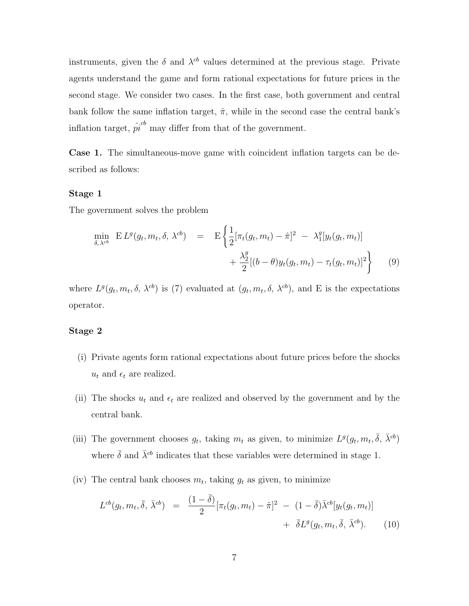instruments, given the  $\delta$  and  $\lambda^{cb}$  values determined at the previous stage. Private agents understand the game and form rational expectations for future prices in the second stage. We consider two cases. In the first case, both government and central bank follow the same inflation target,  $\hat{\pi}$ , while in the second case the central bank's inflation target,  $\hat{pi}^{cb}$  may differ from that of the government.

**Case 1.** The simultaneous-move game with coincident inflation targets can be described as follows:

#### **Stage 1**

The government solves the problem

$$
\min_{\delta, \lambda^{cb}} \mathbf{E} L^{g}(g_{t}, m_{t}, \delta, \lambda^{cb}) = \mathbf{E} \left\{ \frac{1}{2} [\pi_{t}(g_{t}, m_{t}) - \hat{\pi}]^{2} - \lambda_{1}^{g} [y_{t}(g_{t}, m_{t})] + \frac{\lambda_{2}^{g}}{2} [(b - \theta)y_{t}(g_{t}, m_{t}) - \tau_{t}(g_{t}, m_{t})]^{2} \right\}
$$
(9)

where  $L^g(g_t, m_t, \delta, \lambda^{cb})$  is (7) evaluated at  $(g_t, m_t, \delta, \lambda^{cb})$ , and E is the expectations operator.

#### **Stage 2**

- (i) Private agents form rational expectations about future prices before the shocks  $u_t$  and  $\epsilon_t$  are realized.
- (ii) The shocks  $u_t$  and  $\epsilon_t$  are realized and observed by the government and by the central bank.
- (iii) The government chooses  $g_t$ , taking  $m_t$  as given, to minimize  $L^g(g_t, m_t, \bar{\delta}, \bar{\lambda}^{cb})$ where  $\bar{\delta}$  and  $\bar{\lambda}^{cb}$  indicates that these variables were determined in stage 1.
- (iv) The central bank chooses  $m_t$ , taking  $g_t$  as given, to minimize

$$
L^{cb}(g_t, m_t, \bar{\delta}, \bar{\lambda}^{cb}) = \frac{(1 - \bar{\delta})}{2} [\pi_t(g_t, m_t) - \hat{\pi}]^2 - (1 - \bar{\delta}) \bar{\lambda}^{cb}[y_t(g_t, m_t)]
$$
  
+  $\bar{\delta} L^g(g_t, m_t, \bar{\delta}, \bar{\lambda}^{cb}).$  (10)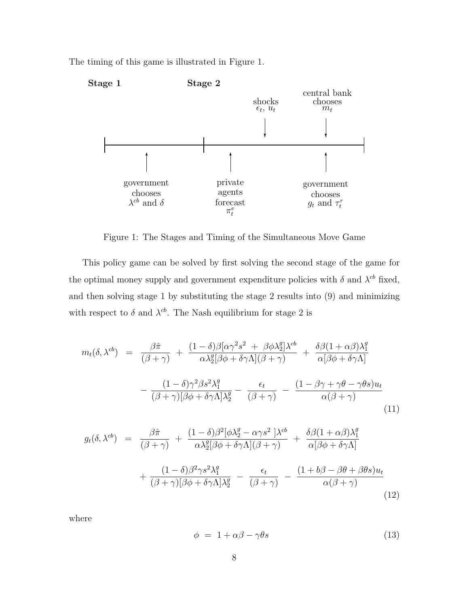The timing of this game is illustrated in Figure 1.



Figure 1: The Stages and Timing of the Simultaneous Move Game

This policy game can be solved by first solving the second stage of the game for the optimal money supply and government expenditure policies with  $\delta$  and  $\lambda^{cb}$  fixed, and then solving stage 1 by substituting the stage 2 results into (9) and minimizing with respect to  $\delta$  and  $\lambda^{cb}$ . The Nash equilibrium for stage 2 is

$$
m_t(\delta, \lambda^{cb}) = \frac{\beta \hat{\pi}}{(\beta + \gamma)} + \frac{(1 - \delta)\beta[\alpha \gamma^2 s^2 + \beta \phi \lambda_2^g] \lambda^{cb}}{\alpha \lambda_2^g [\beta \phi + \delta \gamma \Lambda](\beta + \gamma)} + \frac{\delta \beta (1 + \alpha \beta) \lambda_1^g}{\alpha [\beta \phi + \delta \gamma \Lambda]}
$$

$$
- \frac{(1 - \delta)\gamma^2 \beta s^2 \lambda_1^g}{(\beta + \gamma)[\beta \phi + \delta \gamma \Lambda] \lambda_2^g} - \frac{\epsilon_t}{(\beta + \gamma)} - \frac{(1 - \beta \gamma + \gamma \theta - \gamma \theta s) u_t}{\alpha (\beta + \gamma)}
$$
(11)

$$
g_t(\delta, \lambda^{cb}) = \frac{\beta \hat{\pi}}{(\beta + \gamma)} + \frac{(1 - \delta)\beta^2 [\phi \lambda_2^g - \alpha \gamma s^2] \lambda^{cb}}{\alpha \lambda_2^g [\beta \phi + \delta \gamma \Lambda](\beta + \gamma)} + \frac{\delta \beta (1 + \alpha \beta) \lambda_1^g}{\alpha [\beta \phi + \delta \gamma \Lambda]} + \frac{(1 - \delta)\beta^2 \gamma s^2 \lambda_1^g}{(\beta + \gamma)[\beta \phi + \delta \gamma \Lambda] \lambda_2^g} - \frac{\epsilon_t}{(\beta + \gamma)} - \frac{(1 + b\beta - \beta \theta + \beta \theta s) u_t}{\alpha (\beta + \gamma)}
$$
(12)

where

$$
\phi = 1 + \alpha \beta - \gamma \theta s \tag{13}
$$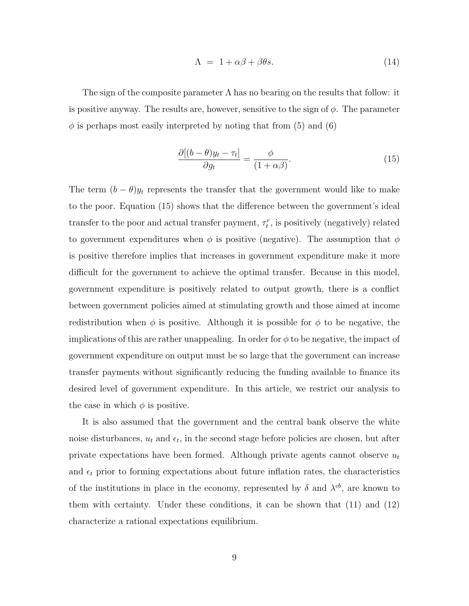$$
\Lambda = 1 + \alpha \beta + \beta \theta s. \tag{14}
$$

The sign of the composite parameter  $\Lambda$  has no bearing on the results that follow: it is positive anyway. The results are, however, sensitive to the sign of  $\phi$ . The parameter  $\phi$  is perhaps most easily interpreted by noting that from (5) and (6)

$$
\frac{\partial[(b-\theta)y_t - \tau_t]}{\partial g_t} = \frac{\phi}{(1+\alpha\beta)}.
$$
\n(15)

The term  $(b - \theta)y_t$  represents the transfer that the government would like to make to the poor. Equation (15) shows that the difference between the government's ideal transfer to the poor and actual transfer payment,  $\tau_t^r$ , is positively (negatively) related to government expenditures when  $\phi$  is positive (negative). The assumption that  $\phi$ is positive therefore implies that increases in government expenditure make it more difficult for the government to achieve the optimal transfer. Because in this model, government expenditure is positively related to output growth, there is a conflict between government policies aimed at stimulating growth and those aimed at income redistribution when  $\phi$  is positive. Although it is possible for  $\phi$  to be negative, the implications of this are rather unappealing. In order for  $\phi$  to be negative, the impact of government expenditure on output must be so large that the government can increase transfer payments without significantly reducing the funding available to finance its desired level of government expenditure. In this article, we restrict our analysis to the case in which  $\phi$  is positive.

It is also assumed that the government and the central bank observe the white noise disturbances,  $u_t$  and  $\epsilon_t$ , in the second stage before policies are chosen, but after private expectations have been formed. Although private agents cannot observe  $u_t$ and  $\epsilon_t$  prior to forming expectations about future inflation rates, the characteristics of the institutions in place in the economy, represented by  $\delta$  and  $\lambda^{cb}$ , are known to them with certainty. Under these conditions, it can be shown that (11) and (12) characterize a rational expectations equilibrium.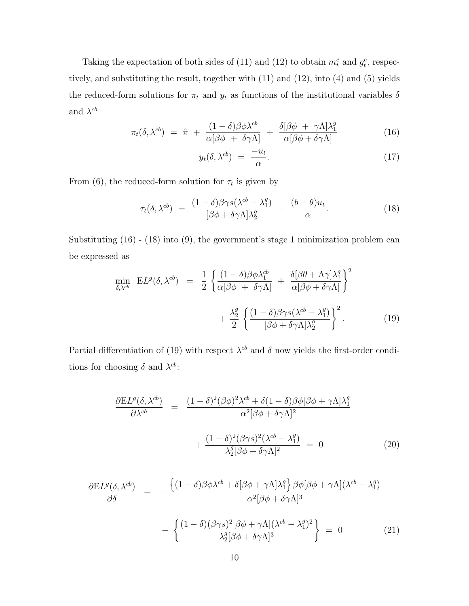Taking the expectation of both sides of (11) and (12) to obtain  $m_t^e$  and  $g_t^e$ , respectively, and substituting the result, together with (11) and (12), into (4) and (5) yields the reduced-form solutions for  $\pi_t$  and  $y_t$  as functions of the institutional variables  $\delta$ and  $\lambda^{cb}$ 

$$
\pi_t(\delta, \lambda^{cb}) = \hat{\pi} + \frac{(1-\delta)\beta\phi\lambda^{cb}}{\alpha[\beta\phi + \delta\gamma\Lambda]} + \frac{\delta[\beta\phi + \gamma\Lambda]\lambda_1^g}{\alpha[\beta\phi + \delta\gamma\Lambda]}
$$
(16)

$$
y_t(\delta, \lambda^{cb}) = \frac{-u_t}{\alpha}.
$$
 (17)

From (6), the reduced-form solution for  $\tau_t$  is given by

$$
\tau_t(\delta, \lambda^{cb}) = \frac{(1-\delta)\beta\gamma s(\lambda^{cb} - \lambda_1^g)}{[\beta\phi + \delta\gamma\Lambda]\lambda_2^g} - \frac{(b-\theta)u_t}{\alpha}.
$$
\n(18)

Substituting (16) - (18) into (9), the government's stage 1 minimization problem can be expressed as

$$
\min_{\delta,\lambda^{cb}} EL^{g}(\delta, \lambda^{cb}) = \frac{1}{2} \left\{ \frac{(1-\delta)\beta\phi\lambda_1^{cb}}{\alpha[\beta\phi + \delta\gamma\Lambda]} + \frac{\delta[\beta\theta + \Lambda\gamma]\lambda_1^g}{\alpha[\beta\phi + \delta\gamma\Lambda]} \right\}^2 + \frac{\lambda_2^g}{2} \left\{ \frac{(1-\delta)\beta\gamma s(\lambda^{cb} - \lambda_1^g)}{[\beta\phi + \delta\gamma\Lambda]\lambda_2^g} \right\}^2.
$$
\n(19)

Partial differentiation of (19) with respect  $\lambda^{cb}$  and  $\delta$  now yields the first-order conditions for choosing  $\delta$  and  $\lambda^{cb}$ :

$$
\frac{\partial EL^{g}(\delta, \lambda^{cb})}{\partial \lambda^{cb}} = \frac{(1-\delta)^{2}(\beta\phi)^{2}\lambda^{cb} + \delta(1-\delta)\beta\phi[\beta\phi + \gamma\Lambda]\lambda_{1}^{g}}{\alpha^{2}[\beta\phi + \delta\gamma\Lambda]^{2}} + \frac{(1-\delta)^{2}(\beta\gamma s)^{2}(\lambda^{cb} - \lambda_{1}^{g})}{\lambda_{2}^{g}[\beta\phi + \delta\gamma\Lambda]^{2}} = 0
$$
\n(20)

$$
\frac{\partial EL^g(\delta, \lambda^{cb})}{\partial \delta} = -\frac{\left\{ (1-\delta)\beta \phi \lambda^{cb} + \delta[\beta \phi + \gamma \Lambda] \lambda_1^g \right\} \beta \phi [\beta \phi + \gamma \Lambda] (\lambda^{cb} - \lambda_1^g)}{\alpha^2 [\beta \phi + \delta \gamma \Lambda]^3}
$$
\n
$$
\left\{ (1-\delta)(\beta \gamma s)^2 [\beta \phi + \gamma \Lambda] (\lambda^{cb} - \lambda_1^g)^2 \right\}
$$

$$
-\left\{\frac{(1-\delta)(\beta\gamma s)^2[\beta\phi+\gamma\Lambda](\lambda^{cb}-\lambda_1^g)^2}{\lambda_2^g[\beta\phi+\delta\gamma\Lambda]^3}\right\} = 0
$$
\n(21)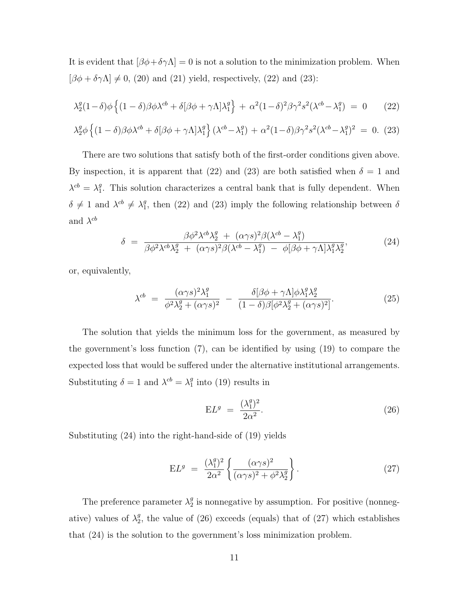It is evident that  $[\beta\phi + \delta\gamma\Lambda] = 0$  is not a solution to the minimization problem. When  $[\beta\phi+\delta\gamma\Lambda]\neq0,$  (20) and (21) yield, respectively, (22) and (23):

$$
\lambda_2^g (1 - \delta) \phi \left\{ (1 - \delta) \beta \phi \lambda^{cb} + \delta [\beta \phi + \gamma \Lambda] \lambda_1^g \right\} + \alpha^2 (1 - \delta)^2 \beta \gamma^2 s^2 (\lambda^{cb} - \lambda_1^g) = 0 \tag{22}
$$

$$
\lambda_2^g \phi \left\{ (1 - \delta) \beta \phi \lambda^{cb} + \delta [\beta \phi + \gamma \Lambda] \lambda_1^g \right\} (\lambda^{cb} - \lambda_1^g) + \alpha^2 (1 - \delta) \beta \gamma^2 s^2 (\lambda^{cb} - \lambda_1^g)^2 = 0. \tag{23}
$$

There are two solutions that satisfy both of the first-order conditions given above. By inspection, it is apparent that (22) and (23) are both satisfied when  $\delta = 1$  and  $\lambda^{cb} = \lambda_1^g$ . This solution characterizes a central bank that is fully dependent. When  $\delta \neq 1$  and  $\lambda^{cb} \neq \lambda_1^g$ , then (22) and (23) imply the following relationship between  $\delta$ and  $\lambda^{cb}$ 

$$
\delta = \frac{\beta \phi^2 \lambda^{cb} \lambda_2^g + (\alpha \gamma s)^2 \beta (\lambda^{cb} - \lambda_1^g)}{\beta \phi^2 \lambda^{cb} \lambda_2^g + (\alpha \gamma s)^2 \beta (\lambda^{cb} - \lambda_1^g) - \phi [\beta \phi + \gamma \Lambda] \lambda_1^g \lambda_2^g},\tag{24}
$$

or, equivalently,

$$
\lambda^{cb} = \frac{(\alpha \gamma s)^2 \lambda_1^g}{\phi^2 \lambda_2^g + (\alpha \gamma s)^2} - \frac{\delta[\beta \phi + \gamma \Lambda] \phi \lambda_1^g \lambda_2^g}{(1 - \delta) \beta [\phi^2 \lambda_2^g + (\alpha \gamma s)^2]}.
$$
(25)

The solution that yields the minimum loss for the government, as measured by the government's loss function (7), can be identified by using (19) to compare the expected loss that would be suffered under the alternative institutional arrangements. Substituting  $\delta = 1$  and  $\lambda^{cb} = \lambda_1^g$  into (19) results in

$$
\mathbf{E}L^g = \frac{(\lambda_1^g)^2}{2\alpha^2}.
$$
\n(26)

Substituting (24) into the right-hand-side of (19) yields

$$
EL^{g} = \frac{(\lambda_1^{g})^2}{2\alpha^2} \left\{ \frac{(\alpha \gamma s)^2}{(\alpha \gamma s)^2 + \phi^2 \lambda_2^g} \right\}.
$$
 (27)

The preference parameter  $\lambda_2^g$  is nonnegative by assumption. For positive (nonnegative) values of  $\lambda_2^g$ , the value of (26) exceeds (equals) that of (27) which establishes that (24) is the solution to the government's loss minimization problem.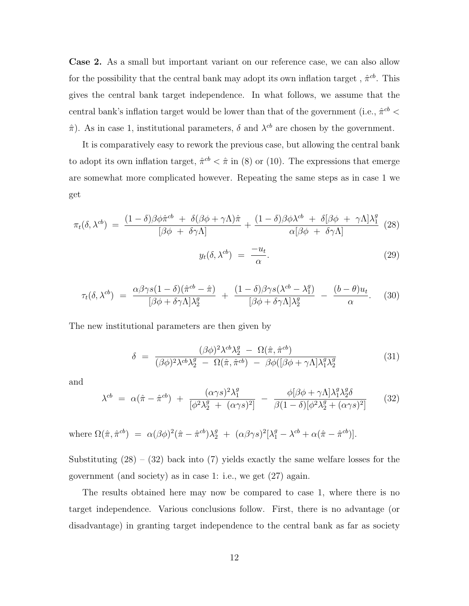**Case 2.** As a small but important variant on our reference case, we can also allow for the possibility that the central bank may adopt its own inflation target ,  $\hat{\pi}^{cb}.$  This gives the central bank target independence. In what follows, we assume that the central bank's inflation target would be lower than that of the government (i.e.,  $\hat{\pi}^{cb}$  <  $\hat{\pi}$ ). As in case 1, institutional parameters,  $\delta$  and  $\lambda^{cb}$  are chosen by the government.

It is comparatively easy to rework the previous case, but allowing the central bank to adopt its own inflation target,  $\hat{\pi}^{cb} < \hat{\pi}$  in (8) or (10). The expressions that emerge are somewhat more complicated however. Repeating the same steps as in case 1 we get

$$
\pi_t(\delta, \lambda^{cb}) = \frac{(1-\delta)\beta\phi\hat{\pi}^{cb} + \delta(\beta\phi + \gamma\Lambda)\hat{\pi}}{[\beta\phi + \delta\gamma\Lambda]} + \frac{(1-\delta)\beta\phi\lambda^{cb} + \delta[\beta\phi + \gamma\Lambda]\lambda_1^g}{\alpha[\beta\phi + \delta\gamma\Lambda]}
$$
(28)

$$
y_t(\delta, \lambda^{cb}) = \frac{-u_t}{\alpha}.
$$
 (29)

$$
\tau_t(\delta, \lambda^{cb}) = \frac{\alpha \beta \gamma s (1 - \delta)(\hat{\pi}^{cb} - \hat{\pi})}{[\beta \phi + \delta \gamma \Lambda] \lambda_2^g} + \frac{(1 - \delta) \beta \gamma s (\lambda^{cb} - \lambda_1^g)}{[\beta \phi + \delta \gamma \Lambda] \lambda_2^g} - \frac{(b - \theta) u_t}{\alpha}.
$$
 (30)

The new institutional parameters are then given by

$$
\delta = \frac{(\beta \phi)^2 \lambda^{cb} \lambda_2^g - \Omega(\hat{\pi}, \hat{\pi}^{cb})}{(\beta \phi)^2 \lambda^{cb} \lambda_2^g - \Omega(\hat{\pi}, \hat{\pi}^{cb}) - \beta \phi([\beta \phi + \gamma \Lambda] \lambda_1^g \lambda_2^g}
$$
(31)

and

$$
\lambda^{cb} = \alpha(\hat{\pi} - \hat{\pi}^{cb}) + \frac{(\alpha \gamma s)^2 \lambda_1^g}{[\phi^2 \lambda_2^g + (\alpha \gamma s)^2]} - \frac{\phi[\beta \phi + \gamma \Lambda] \lambda_1^g \lambda_2^g \delta}{\beta (1 - \delta) [\phi^2 \lambda_2^g + (\alpha \gamma s)^2]} \tag{32}
$$

where 
$$
\Omega(\hat{\pi}, \hat{\pi}^{cb}) = \alpha(\beta\phi)^2(\hat{\pi} - \hat{\pi}^{cb})\lambda_2^g + (\alpha\beta\gamma s)^2[\lambda_1^g - \lambda^{cb} + \alpha(\hat{\pi} - \hat{\pi}^{cb})].
$$

Substituting  $(28) - (32)$  back into  $(7)$  yields exactly the same welfare losses for the government (and society) as in case 1: i.e., we get (27) again.

The results obtained here may now be compared to case 1, where there is no target independence. Various conclusions follow. First, there is no advantage (or disadvantage) in granting target independence to the central bank as far as society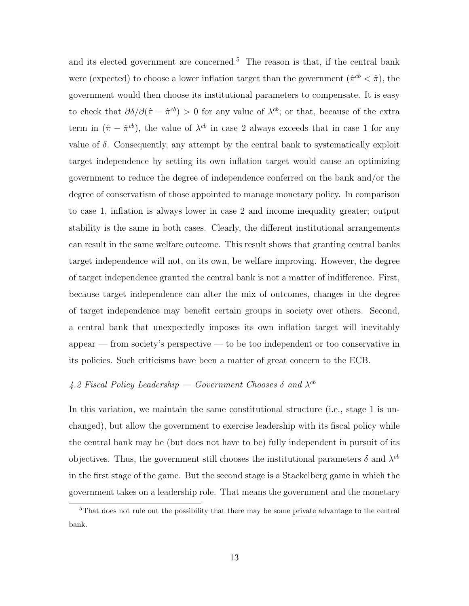and its elected government are concerned.<sup>5</sup> The reason is that, if the central bank were (expected) to choose a lower inflation target than the government  $(\hat{\pi}^{cb} < \hat{\pi})$ , the government would then choose its institutional parameters to compensate. It is easy to check that  $\partial \delta / \partial (\hat{\pi} - \hat{\pi}^{cb}) > 0$  for any value of  $\lambda^{cb}$ ; or that, because of the extra term in  $(\hat{\pi} - \hat{\pi}^{cb})$ , the value of  $\lambda^{cb}$  in case 2 always exceeds that in case 1 for any value of  $\delta$ . Consequently, any attempt by the central bank to systematically exploit target independence by setting its own inflation target would cause an optimizing government to reduce the degree of independence conferred on the bank and/or the degree of conservatism of those appointed to manage monetary policy. In comparison to case 1, inflation is always lower in case 2 and income inequality greater; output stability is the same in both cases. Clearly, the different institutional arrangements can result in the same welfare outcome. This result shows that granting central banks target independence will not, on its own, be welfare improving. However, the degree of target independence granted the central bank is not a matter of indifference. First, because target independence can alter the mix of outcomes, changes in the degree of target independence may benefit certain groups in society over others. Second, a central bank that unexpectedly imposes its own inflation target will inevitably appear — from society's perspective — to be too independent or too conservative in its policies. Such criticisms have been a matter of great concern to the ECB.

# 4.2 Fiscal Policy Leadership — Government Chooses  $\delta$  and  $\lambda^{cb}$

In this variation, we maintain the same constitutional structure (i.e., stage 1 is unchanged), but allow the government to exercise leadership with its fiscal policy while the central bank may be (but does not have to be) fully independent in pursuit of its objectives. Thus, the government still chooses the institutional parameters  $\delta$  and  $\lambda^{cb}$ in the first stage of the game. But the second stage is a Stackelberg game in which the government takes on a leadership role. That means the government and the monetary

<sup>&</sup>lt;sup>5</sup>That does not rule out the possibility that there may be some private advantage to the central bank.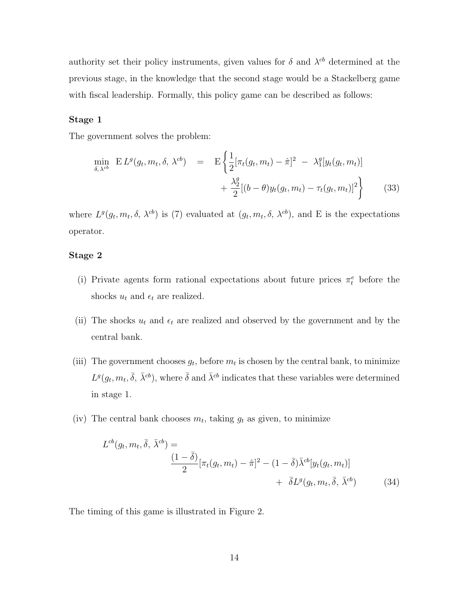authority set their policy instruments, given values for  $\delta$  and  $\lambda^{cb}$  determined at the previous stage, in the knowledge that the second stage would be a Stackelberg game with fiscal leadership. Formally, this policy game can be described as follows:

#### **Stage 1**

The government solves the problem:

$$
\min_{\delta, \lambda^{cb}} \mathbf{E} L^{g}(g_{t}, m_{t}, \delta, \lambda^{cb}) = \mathbf{E} \left\{ \frac{1}{2} [\pi_{t}(g_{t}, m_{t}) - \hat{\pi}]^{2} - \lambda_{1}^{g}[y_{t}(g_{t}, m_{t})] + \frac{\lambda_{2}^{g}}{2} [(b - \theta)y_{t}(g_{t}, m_{t}) - \tau_{t}(g_{t}, m_{t})]^{2} \right\}
$$
(33)

where  $L^g(g_t, m_t, \delta, \lambda^{cb})$  is (7) evaluated at  $(g_t, m_t, \delta, \lambda^{cb})$ , and E is the expectations operator.

#### **Stage 2**

- (i) Private agents form rational expectations about future prices  $\pi_t^e$  before the shocks  $u_t$  and  $\epsilon_t$  are realized.
- (ii) The shocks  $u_t$  and  $\epsilon_t$  are realized and observed by the government and by the central bank.
- (iii) The government chooses  $g_t$ , before  $m_t$  is chosen by the central bank, to minimize  $L^g(g_t, m_t, \bar{\delta}, \bar{\lambda}^{cb})$ , where  $\bar{\delta}$  and  $\bar{\lambda}^{cb}$  indicates that these variables were determined in stage 1.
- (iv) The central bank chooses  $m_t$ , taking  $g_t$  as given, to minimize

$$
L^{cb}(g_t, m_t, \bar{\delta}, \bar{\lambda}^{cb}) =
$$
  

$$
\frac{(1 - \bar{\delta})}{2} [\pi_t(g_t, m_t) - \hat{\pi}]^2 - (1 - \bar{\delta}) \bar{\lambda}^{cb}[y_t(g_t, m_t)]
$$
  

$$
+ \bar{\delta} L^g(g_t, m_t, \bar{\delta}, \bar{\lambda}^{cb})
$$
(34)

The timing of this game is illustrated in Figure 2.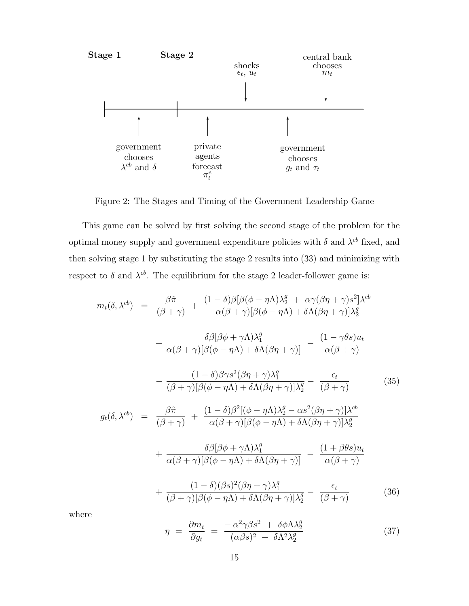

Figure 2: The Stages and Timing of the Government Leadership Game

This game can be solved by first solving the second stage of the problem for the optimal money supply and government expenditure policies with  $\delta$  and  $\lambda^{cb}$  fixed, and then solving stage 1 by substituting the stage 2 results into (33) and minimizing with respect to  $\delta$  and  $\lambda^{cb}$ . The equilibrium for the stage 2 leader-follower game is:

$$
m_t(\delta, \lambda^{cb}) = \frac{\beta \hat{\pi}}{(\beta + \gamma)} + \frac{(1 - \delta)\beta[\beta(\phi - \eta \Lambda)\lambda_2^g + \alpha\gamma(\beta\eta + \gamma)s^2]\lambda^{cb}}{\alpha(\beta + \gamma)[\beta(\phi - \eta \Lambda) + \delta\Lambda(\beta\eta + \gamma)]\lambda_2^g}
$$

$$
+ \frac{\delta\beta[\beta\phi + \gamma\Lambda)\lambda_1^q}{\alpha(\beta + \gamma)[\beta(\phi - \eta \Lambda) + \delta\Lambda(\beta\eta + \gamma)]} - \frac{(1 - \gamma\theta s)u_t}{\alpha(\beta + \gamma)}
$$

$$
- \frac{(1 - \delta)\beta\gamma s^2(\beta\eta + \gamma)\lambda_1^q}{(\beta + \gamma)[\beta(\phi - \eta \Lambda) + \delta\Lambda(\beta\eta + \gamma)]\lambda_2^g} - \frac{\epsilon_t}{(\beta + \gamma)}
$$
(35)
$$
g_t(\delta, \lambda^{cb}) = \frac{\beta \hat{\pi}}{(\beta + \gamma)} + \frac{(1 - \delta)\beta^2[(\phi - \eta \Lambda)\lambda_2^g - \alpha s^2(\beta\eta + \gamma)]\lambda^{cb}}{\alpha(\beta + \gamma)[\beta(\phi - \eta \Lambda) + \delta\Lambda(\beta\eta + \gamma)]\lambda_2^g}
$$

$$
+ \frac{\delta\beta[\beta\phi + \gamma\Lambda)\lambda_1^g}{\alpha(\beta + \gamma)[\beta(\phi - \eta \Lambda) + \delta\Lambda(\beta\eta + \gamma)]} - \frac{(1 + \beta\theta s)u_t}{\alpha(\beta + \gamma)}
$$

$$
+ \frac{(1 - \delta)(\beta s)^2(\beta\eta + \gamma)\lambda_1^g}{(\beta + \gamma)[\beta(\phi - \eta \Lambda) + \delta\Lambda(\beta\eta + \gamma)]\lambda_2^g} - \frac{\epsilon_t}{(\beta + \gamma)}
$$
(36)

where

$$
\eta = \frac{\partial m_t}{\partial g_t} = \frac{-\alpha^2 \gamma \beta s^2 + \delta \phi \Lambda \lambda_2^g}{(\alpha \beta s)^2 + \delta \Lambda^2 \lambda_2^g}
$$
(37)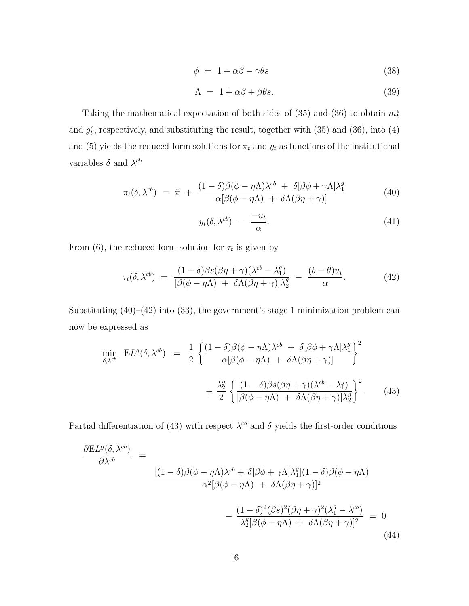$$
\phi = 1 + \alpha \beta - \gamma \theta s \tag{38}
$$

$$
\Lambda = 1 + \alpha \beta + \beta \theta s. \tag{39}
$$

Taking the mathematical expectation of both sides of  $(35)$  and  $(36)$  to obtain  $m_t^e$ and  $g_t^e$ , respectively, and substituting the result, together with  $(35)$  and  $(36)$ , into  $(4)$ and (5) yields the reduced-form solutions for  $\pi_t$  and  $y_t$  as functions of the institutional variables  $\delta$  and  $\lambda^{cb}$ 

$$
\pi_t(\delta, \lambda^{cb}) = \hat{\pi} + \frac{(1 - \delta)\beta(\phi - \eta\Lambda)\lambda^{cb} + \delta[\beta\phi + \gamma\Lambda]\lambda_1^g}{\alpha[\beta(\phi - \eta\Lambda) + \delta\Lambda(\beta\eta + \gamma)]}
$$
(40)

$$
y_t(\delta, \lambda^{cb}) = \frac{-u_t}{\alpha}.
$$
\n(41)

From (6), the reduced-form solution for  $\tau_t$  is given by

$$
\tau_t(\delta, \lambda^{cb}) = \frac{(1-\delta)\beta s(\beta \eta + \gamma)(\lambda^{cb} - \lambda_1^g)}{[\beta(\phi - \eta \Lambda) + \delta \Lambda(\beta \eta + \gamma)]\lambda_2^g} - \frac{(b-\theta)u_t}{\alpha}.
$$
\n(42)

Substituting  $(40)$ – $(42)$  into  $(33)$ , the government's stage 1 minimization problem can now be expressed as

$$
\min_{\delta,\lambda^{cb}} EL^{g}(\delta, \lambda^{cb}) = \frac{1}{2} \left\{ \frac{(1-\delta)\beta(\phi-\eta\Lambda)\lambda^{cb} + \delta[\beta\phi+\gamma\Lambda]\lambda_{1}^{g}}{\alpha[\beta(\phi-\eta\Lambda) + \delta\Lambda(\beta\eta+\gamma)]} \right\}^{2} + \frac{\lambda_{2}^{g}}{2} \left\{ \frac{(1-\delta)\beta s(\beta\eta+\gamma)(\lambda^{cb}-\lambda_{1}^{g})}{[\beta(\phi-\eta\Lambda) + \delta\Lambda(\beta\eta+\gamma)]\lambda_{2}^{g}} \right\}^{2}.
$$
 (43)

Partial differentiation of (43) with respect  $\lambda^{cb}$  and  $\delta$  yields the first-order conditions

$$
\frac{\partial EL^{g}(\delta, \lambda^{cb})}{\partial \lambda^{cb}} = \frac{\left[ (1-\delta)\beta(\phi-\eta\Lambda)\lambda^{cb} + \delta[\beta\phi+\gamma\Lambda]\lambda_{1}^{g}\right](1-\delta)\beta(\phi-\eta\Lambda)}{\alpha^{2}[\beta(\phi-\eta\Lambda) + \delta\Lambda(\beta\eta+\gamma)]^{2}} - \frac{(1-\delta)^{2}(\beta s)^{2}(\beta\eta+\gamma)^{2}(\lambda_{1}^{g}-\lambda^{cb})}{\lambda_{2}^{g}[\beta(\phi-\eta\Lambda) + \delta\Lambda(\beta\eta+\gamma)]^{2}} = 0
$$
\n(44)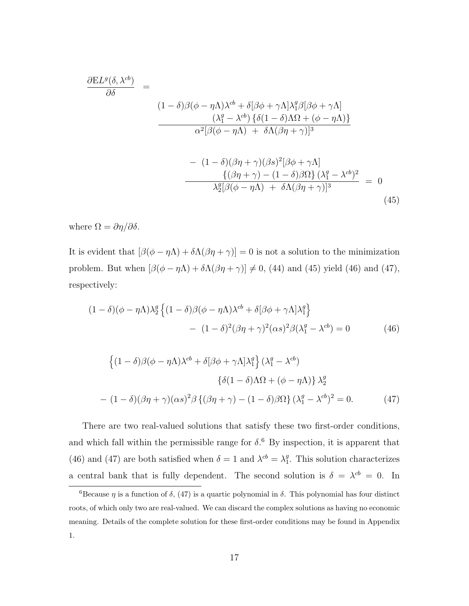$$
\frac{\partial EL^{g}(\delta, \lambda^{cb})}{\partial \delta} = \frac{(1-\delta)\beta(\phi-\eta\Lambda)\lambda^{cb} + \delta[\beta\phi+\gamma\Lambda]\lambda_{1}^{g}\beta[\beta\phi+\gamma\Lambda]}{(\lambda_{1}^{g}-\lambda^{cb})\{\delta(1-\delta)\Lambda\Omega+(\phi-\eta\Lambda)\}\lambda_{2}^{2}[\beta(\phi-\eta\Lambda)+\delta\Lambda(\beta\eta+\gamma)]^{3}}
$$

$$
-(1-\delta)(\beta\eta+\gamma)(\beta s)^{2}[\beta\phi+\gamma\Lambda]
$$

$$
\frac{\{(\beta\eta+\gamma)-(1-\delta)\beta\Omega\}\lambda_{1}^{g}-\lambda^{cb})^{2}}{\lambda_{2}^{g}[\beta(\phi-\eta\Lambda)+\delta\Lambda(\beta\eta+\gamma)]^{3}} = 0
$$
(45)

where  $\Omega = \partial \eta / \partial \delta$ .

It is evident that  $[\beta(\phi - \eta \Lambda) + \delta \Lambda(\beta \eta + \gamma)] = 0$  is not a solution to the minimization problem. But when  $[\beta(\phi - \eta \Lambda) + \delta \Lambda(\beta \eta + \gamma)] \neq 0$ , (44) and (45) yield (46) and (47), respectively:

$$
(1 - \delta)(\phi - \eta \Lambda)\lambda_2^g \left\{ (1 - \delta)\beta(\phi - \eta \Lambda)\lambda^{cb} + \delta[\beta\phi + \gamma \Lambda]\lambda_1^g \right\}
$$

$$
- (1 - \delta)^2(\beta\eta + \gamma)^2(\alpha s)^2\beta(\lambda_1^g - \lambda^{cb}) = 0
$$
(46)

$$
\left\{ (1 - \delta)\beta(\phi - \eta\Lambda)\lambda^{cb} + \delta[\beta\phi + \gamma\Lambda]\lambda_1^g \right\} (\lambda_1^g - \lambda^{cb})
$$

$$
\left\{ \delta(1 - \delta)\Lambda\Omega + (\phi - \eta\Lambda) \right\} \lambda_2^g
$$

$$
- (1 - \delta)(\beta\eta + \gamma)(\alpha s)^2 \beta \left\{ (\beta\eta + \gamma) - (1 - \delta)\beta\Omega \right\} (\lambda_1^g - \lambda^{cb})^2 = 0. \tag{47}
$$

There are two real-valued solutions that satisfy these two first-order conditions, and which fall within the permissible range for  $\delta$ .<sup>6</sup> By inspection, it is apparent that (46) and (47) are both satisfied when  $\delta = 1$  and  $\lambda^{cb} = \lambda_1^g$ . This solution characterizes a central bank that is fully dependent. The second solution is  $\delta = \lambda^{cb} = 0$ . In

<sup>&</sup>lt;sup>6</sup>Because  $\eta$  is a function of  $\delta$ , (47) is a quartic polynomial in  $\delta$ . This polynomial has four distinct roots, of which only two are real-valued. We can discard the complex solutions as having no economic meaning. Details of the complete solution for these first-order conditions may be found in Appendix 1.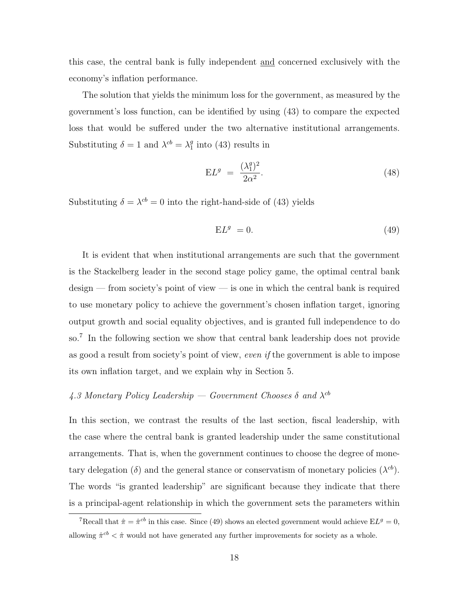this case, the central bank is fully independent and concerned exclusively with the economy's inflation performance.

The solution that yields the minimum loss for the government, as measured by the government's loss function, can be identified by using (43) to compare the expected loss that would be suffered under the two alternative institutional arrangements. Substituting  $\delta = 1$  and  $\lambda^{cb} = \lambda_1^g$  into (43) results in

$$
\mathbf{E}L^g = \frac{(\lambda_1^g)^2}{2\alpha^2}.
$$
\n(48)

Substituting  $\delta = \lambda^{cb} = 0$  into the right-hand-side of (43) yields

$$
E L^g = 0. \t\t(49)
$$

It is evident that when institutional arrangements are such that the government is the Stackelberg leader in the second stage policy game, the optimal central bank design — from society's point of view — is one in which the central bank is required to use monetary policy to achieve the government's chosen inflation target, ignoring output growth and social equality objectives, and is granted full independence to do so.<sup>7</sup> In the following section we show that central bank leadership does not provide as good a result from society's point of view, *even if* the government is able to impose its own inflation target, and we explain why in Section 5.

### 4.3 Monetary Policy Leadership — Government Chooses  $\delta$  and  $\lambda^{cb}$

In this section, we contrast the results of the last section, fiscal leadership, with the case where the central bank is granted leadership under the same constitutional arrangements. That is, when the government continues to choose the degree of monetary delegation (δ) and the general stance or conservatism of monetary policies ( $\lambda^{cb}$ ). The words "is granted leadership" are significant because they indicate that there is a principal-agent relationship in which the government sets the parameters within

<sup>&</sup>lt;sup>7</sup>Recall that  $\hat{\pi} = \hat{\pi}^{cb}$  in this case. Since (49) shows an elected government would achieve EL<sup>g</sup> = 0, allowing  $\hat{\pi}^{cb} < \hat{\pi}$  would not have generated any further improvements for society as a whole.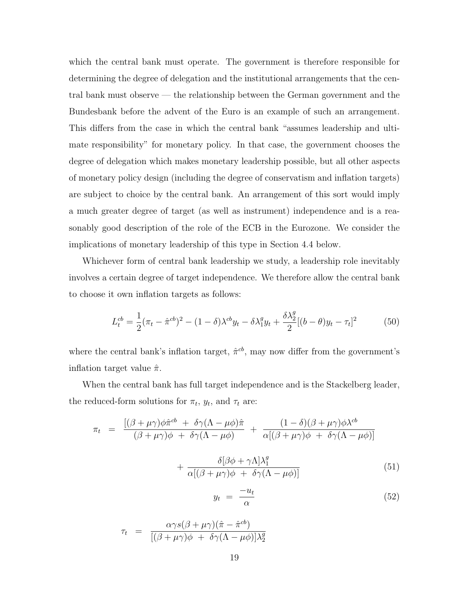which the central bank must operate. The government is therefore responsible for determining the degree of delegation and the institutional arrangements that the central bank must observe — the relationship between the German government and the Bundesbank before the advent of the Euro is an example of such an arrangement. This differs from the case in which the central bank "assumes leadership and ultimate responsibility" for monetary policy. In that case, the government chooses the degree of delegation which makes monetary leadership possible, but all other aspects of monetary policy design (including the degree of conservatism and inflation targets) are subject to choice by the central bank. An arrangement of this sort would imply a much greater degree of target (as well as instrument) independence and is a reasonably good description of the role of the ECB in the Eurozone. We consider the implications of monetary leadership of this type in Section 4.4 below.

Whichever form of central bank leadership we study, a leadership role inevitably involves a certain degree of target independence. We therefore allow the central bank to choose it own inflation targets as follows:

$$
L_t^{cb} = \frac{1}{2}(\pi_t - \hat{\pi}^{cb})^2 - (1 - \delta)\lambda^{cb}y_t - \delta\lambda_1^g y_t + \frac{\delta\lambda_2^g}{2}[(b - \theta)y_t - \tau_t]^2
$$
(50)

where the central bank's inflation target,  $\hat{\pi}^{cb}$ , may now differ from the government's inflation target value  $\hat{\pi}$ .

When the central bank has full target independence and is the Stackelberg leader, the reduced-form solutions for  $\pi_t$ ,  $y_t$ , and  $\tau_t$  are:

$$
\pi_t = \frac{\left[ (\beta + \mu \gamma) \phi \hat{\pi}^{cb} + \delta \gamma (\Lambda - \mu \phi) \hat{\pi} \right]}{(\beta + \mu \gamma) \phi + \delta \gamma (\Lambda - \mu \phi)} + \frac{(1 - \delta)(\beta + \mu \gamma) \phi \lambda^{cb}}{\alpha [(\beta + \mu \gamma) \phi + \delta \gamma (\Lambda - \mu \phi)]} + \frac{\delta [\beta \phi + \gamma \Lambda] \lambda_1^g}{\alpha [(\beta + \mu \gamma) \phi + \delta \gamma (\Lambda - \mu \phi)]}
$$
(51)

$$
y_t = \frac{-u_t}{\alpha} \tag{52}
$$

$$
\tau_t = \frac{\alpha \gamma s(\beta + \mu \gamma)(\hat{\pi} - \hat{\pi}^{cb})}{[(\beta + \mu \gamma)\phi + \delta \gamma(\Lambda - \mu \phi)]\lambda_2^g}
$$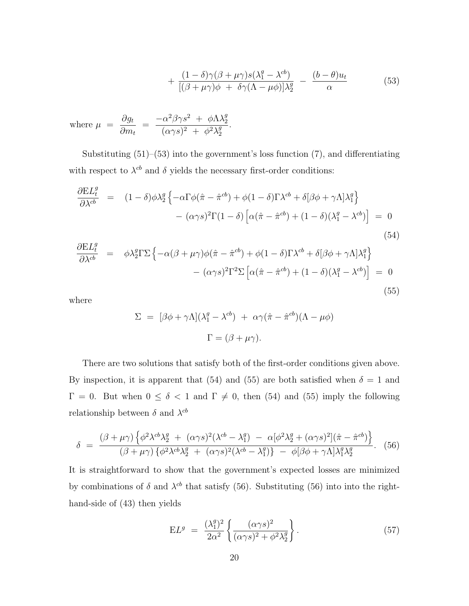$$
+\frac{(1-\delta)\gamma(\beta+\mu\gamma)s(\lambda_1^g-\lambda^{cb})}{[(\beta+\mu\gamma)\phi+\delta\gamma(\Lambda-\mu\phi)]\lambda_2^g}-\frac{(b-\theta)u_t}{\alpha}
$$
(53)

where 
$$
\mu = \frac{\partial g_t}{\partial m_t} = \frac{-\alpha^2 \beta \gamma s^2 + \phi \Lambda \lambda_2^g}{(\alpha \gamma s)^2 + \phi^2 \lambda_2^g}
$$
.

Substituting  $(51)$ – $(53)$  into the government's loss function  $(7)$ , and differentiating with respect to  $\lambda^{cb}$  and  $\delta$  yields the necessary first-order conditions:

$$
\frac{\partial EL_t^g}{\partial \lambda^{cb}} = (1 - \delta)\phi \lambda_2^g \left\{ -\alpha \Gamma \phi(\hat{\pi} - \hat{\pi}^{cb}) + \phi(1 - \delta) \Gamma \lambda^{cb} + \delta[\beta \phi + \gamma \Lambda] \lambda_1^g \right\} \n- (\alpha \gamma s)^2 \Gamma(1 - \delta) \left[ \alpha(\hat{\pi} - \hat{\pi}^{cb}) + (1 - \delta)(\lambda_1^g - \lambda^{cb}) \right] = 0
$$
\n(54)

$$
\frac{\partial EL_{t}^{g}}{\partial \lambda^{cb}} = \phi \lambda_{2}^{g} \Gamma \Sigma \left\{ -\alpha (\beta + \mu \gamma) \phi(\hat{\pi} - \hat{\pi}^{cb}) + \phi (1 - \delta) \Gamma \lambda^{cb} + \delta [\beta \phi + \gamma \Lambda] \lambda_{1}^{g} \right\} \n- (\alpha \gamma s)^{2} \Gamma^{2} \Sigma \left[ \alpha (\hat{\pi} - \hat{\pi}^{cb}) + (1 - \delta) (\lambda_{1}^{g} - \lambda^{cb}) \right] = 0
$$
\n(55)

where

$$
\Sigma = [\beta \phi + \gamma \Lambda](\lambda_1^g - \lambda^{cb}) + \alpha \gamma (\hat{\pi} - \hat{\pi}^{cb})(\Lambda - \mu \phi)
$$

$$
\Gamma = (\beta + \mu \gamma).
$$

There are two solutions that satisfy both of the first-order conditions given above. By inspection, it is apparent that (54) and (55) are both satisfied when  $\delta = 1$  and  $\Gamma = 0$ . But when  $0 \le \delta < 1$  and  $\Gamma \ne 0$ , then (54) and (55) imply the following relationship between  $\delta$  and  $\lambda^{cb}$ 

$$
\delta = \frac{(\beta + \mu\gamma)\left\{\phi^2\lambda^{cb}\lambda_2^g + (\alpha\gamma s)^2(\lambda^{cb} - \lambda_1^g) - \alpha[\phi^2\lambda_2^g + (\alpha\gamma s)^2](\hat{\pi} - \hat{\pi}^{cb})\right\}}{(\beta + \mu\gamma)\left\{\phi^2\lambda^{cb}\lambda_2^g + (\alpha\gamma s)^2(\lambda^{cb} - \lambda_1^g)\right\} - \phi[\beta\phi + \gamma\Lambda]\lambda_1^g\lambda_2^g}.
$$
 (56)

It is straightforward to show that the government's expected losses are minimized by combinations of  $\delta$  and  $\lambda^{cb}$  that satisfy (56). Substituting (56) into into the righthand-side of (43) then yields

$$
EL^{g} = \frac{(\lambda_1^g)^2}{2\alpha^2} \left\{ \frac{(\alpha \gamma s)^2}{(\alpha \gamma s)^2 + \phi^2 \lambda_2^g} \right\}.
$$
 (57)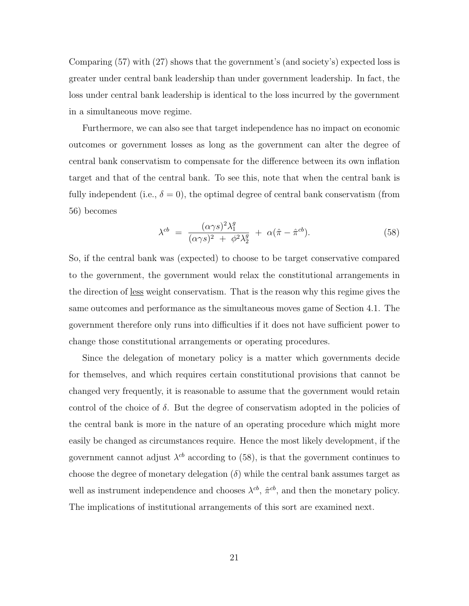Comparing (57) with (27) shows that the government's (and society's) expected loss is greater under central bank leadership than under government leadership. In fact, the loss under central bank leadership is identical to the loss incurred by the government in a simultaneous move regime.

Furthermore, we can also see that target independence has no impact on economic outcomes or government losses as long as the government can alter the degree of central bank conservatism to compensate for the difference between its own inflation target and that of the central bank. To see this, note that when the central bank is fully independent (i.e.,  $\delta = 0$ ), the optimal degree of central bank conservatism (from 56) becomes

$$
\lambda^{cb} = \frac{(\alpha \gamma s)^2 \lambda_1^g}{(\alpha \gamma s)^2 + \phi^2 \lambda_2^g} + \alpha (\hat{\pi} - \hat{\pi}^{cb}). \tag{58}
$$

So, if the central bank was (expected) to choose to be target conservative compared to the government, the government would relax the constitutional arrangements in the direction of less weight conservatism. That is the reason why this regime gives the same outcomes and performance as the simultaneous moves game of Section 4.1. The government therefore only runs into difficulties if it does not have sufficient power to change those constitutional arrangements or operating procedures.

Since the delegation of monetary policy is a matter which governments decide for themselves, and which requires certain constitutional provisions that cannot be changed very frequently, it is reasonable to assume that the government would retain control of the choice of  $\delta$ . But the degree of conservatism adopted in the policies of the central bank is more in the nature of an operating procedure which might more easily be changed as circumstances require. Hence the most likely development, if the government cannot adjust  $\lambda^{cb}$  according to (58), is that the government continues to choose the degree of monetary delegation  $(\delta)$  while the central bank assumes target as well as instrument independence and chooses  $\lambda^{cb}$ ,  $\hat{\pi}^{cb}$ , and then the monetary policy. The implications of institutional arrangements of this sort are examined next.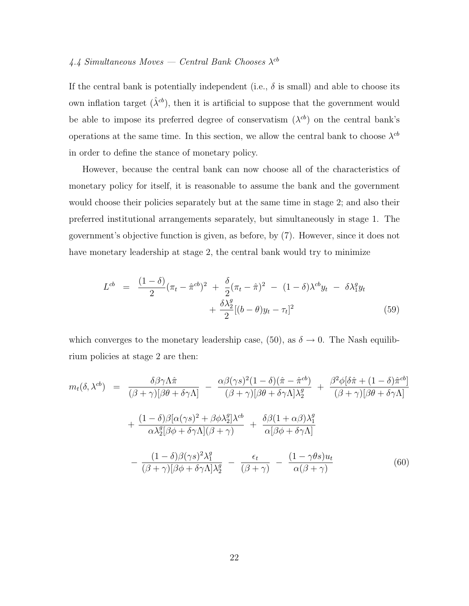### 4.4 Simultaneous Moves — Central Bank Chooses  $\lambda^{cb}$

If the central bank is potentially independent (i.e.,  $\delta$  is small) and able to choose its own inflation target  $(\hat{\lambda}^{cb})$ , then it is artificial to suppose that the government would be able to impose its preferred degree of conservatism  $(\lambda^{cb})$  on the central bank's operations at the same time. In this section, we allow the central bank to choose  $\lambda^{cb}$ in order to define the stance of monetary policy.

However, because the central bank can now choose all of the characteristics of monetary policy for itself, it is reasonable to assume the bank and the government would choose their policies separately but at the same time in stage 2; and also their preferred institutional arrangements separately, but simultaneously in stage 1. The government's objective function is given, as before, by (7). However, since it does not have monetary leadership at stage 2, the central bank would try to minimize

$$
L^{cb} = \frac{(1-\delta)}{2} (\pi_t - \hat{\pi}^{cb})^2 + \frac{\delta}{2} (\pi_t - \hat{\pi})^2 - (1-\delta) \lambda^{cb} y_t - \delta \lambda_1^g y_t + \frac{\delta \lambda_2^g}{2} [(b-\theta)y_t - \tau_t]^2
$$
\n(59)

which converges to the monetary leadership case, (50), as  $\delta \to 0$ . The Nash equilibrium policies at stage 2 are then:

$$
m_t(\delta, \lambda^{cb}) = \frac{\delta \beta \gamma \Lambda \hat{\pi}}{(\beta + \gamma)[\beta \theta + \delta \gamma \Lambda]} - \frac{\alpha \beta (\gamma s)^2 (1 - \delta)(\hat{\pi} - \hat{\pi}^{cb})}{(\beta + \gamma)[\beta \theta + \delta \gamma \Lambda] \lambda_2^g} + \frac{\beta^2 \phi [\delta \hat{\pi} + (1 - \delta) \hat{\pi}^{cb}]}{(\beta + \gamma)[\beta \theta + \delta \gamma \Lambda]} + \frac{(1 - \delta) \beta [\alpha (\gamma s)^2 + \beta \phi \lambda_2^g] \lambda^{cb}}{\alpha \lambda_2^g [\beta \phi + \delta \gamma \Lambda] (\beta + \gamma)} + \frac{\delta \beta (1 + \alpha \beta) \lambda_1^g}{\alpha [\beta \phi + \delta \gamma \Lambda]} - \frac{(1 - \delta) \beta (\gamma s)^2 \lambda_1^g}{(\beta + \gamma)[\beta \phi + \delta \gamma \Lambda] \lambda_2^g} - \frac{\epsilon_t}{(\beta + \gamma)} - \frac{(1 - \gamma \theta s) u_t}{\alpha (\beta + \gamma)}
$$
(60)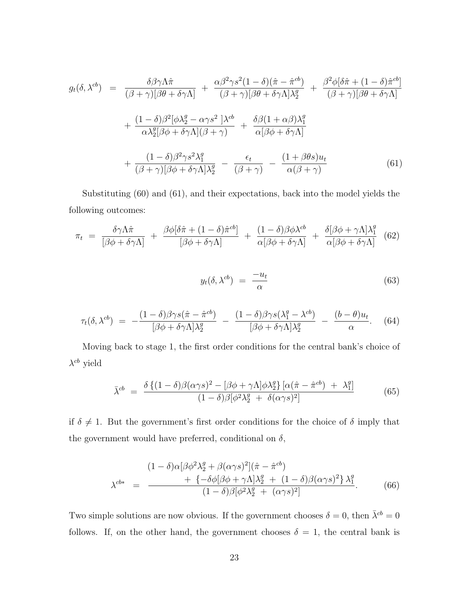$$
g_t(\delta, \lambda^{cb}) = \frac{\delta \beta \gamma \Lambda \hat{\pi}}{(\beta + \gamma)[\beta \theta + \delta \gamma \Lambda]} + \frac{\alpha \beta^2 \gamma s^2 (1 - \delta)(\hat{\pi} - \hat{\pi}^{cb})}{(\beta + \gamma)[\beta \theta + \delta \gamma \Lambda] \lambda_2^g} + \frac{\beta^2 \phi [\delta \hat{\pi} + (1 - \delta) \hat{\pi}^{cb}]}{(\beta + \gamma)[\beta \theta + \delta \gamma \Lambda]} + \frac{(1 - \delta) \beta^2 [\phi \lambda_2^g - \alpha \gamma s^2] \lambda^{cb}}{\alpha \lambda_2^g [\beta \phi + \delta \gamma \Lambda] (\beta + \gamma)} + \frac{\delta \beta (1 + \alpha \beta) \lambda_1^g}{\alpha [\beta \phi + \delta \gamma \Lambda]} + \frac{(1 - \delta) \beta^2 \gamma s^2 \lambda_1^g}{(\beta + \gamma)[\beta \phi + \delta \gamma \Lambda] \lambda_2^g} - \frac{\epsilon_t}{(\beta + \gamma)} - \frac{(1 + \beta \theta s) u_t}{\alpha (\beta + \gamma)}
$$
(61)

Substituting (60) and (61), and their expectations, back into the model yields the following outcomes:

$$
\pi_t = \frac{\delta \gamma \Lambda \hat{\pi}}{[\beta \phi + \delta \gamma \Lambda]} + \frac{\beta \phi [\delta \hat{\pi} + (1 - \delta) \hat{\pi}^{cb}]}{[\beta \phi + \delta \gamma \Lambda]} + \frac{(1 - \delta) \beta \phi \lambda^{cb}}{\alpha [\beta \phi + \delta \gamma \Lambda]} + \frac{\delta [\beta \phi + \gamma \Lambda] \lambda_1^g}{\alpha [\beta \phi + \delta \gamma \Lambda]} \quad (62)
$$

$$
y_t(\delta, \lambda^{cb}) = \frac{-u_t}{\alpha} \tag{63}
$$

$$
\tau_t(\delta, \lambda^{cb}) = -\frac{(1-\delta)\beta\gamma s(\hat{\pi} - \hat{\pi}^{cb})}{[\beta\phi + \delta\gamma\Lambda]\lambda_2^g} - \frac{(1-\delta)\beta\gamma s(\lambda_1^g - \lambda^{cb})}{[\beta\phi + \delta\gamma\Lambda]\lambda_2^g} - \frac{(b-\theta)u_t}{\alpha}.
$$
 (64)

Moving back to stage 1, the first order conditions for the central bank's choice of  $\lambda^{cb}$  yield

$$
\bar{\lambda}^{cb} = \frac{\delta \left\{ (1-\delta)\beta (\alpha\gamma s)^2 - [\beta\phi + \gamma\Lambda]\phi\lambda_2^g \right\} [\alpha(\hat{\pi} - \hat{\pi}^{cb}) + \lambda_1^g]}{(1-\delta)\beta[\phi^2\lambda_2^g + \delta(\alpha\gamma s)^2]}
$$
(65)

if  $\delta \neq 1$ . But the government's first order conditions for the choice of  $\delta$  imply that the government would have preferred, conditional on  $\delta$ ,

$$
\lambda^{cb*} = \frac{(1-\delta)\alpha[\beta\phi^2\lambda_2^g + \beta(\alpha\gamma s)^2](\hat{\pi} - \hat{\pi}^{cb}) + \{-\delta\phi[\beta\phi + \gamma\Lambda]\lambda_2^g + (1-\delta)\beta(\alpha\gamma s)^2\}\lambda_1^g}{(1-\delta)\beta[\phi^2\lambda_2^g + (\alpha\gamma s)^2]}.
$$
(66)

Two simple solutions are now obvious. If the government chooses  $\delta = 0$ , then  $\bar{\lambda}^{cb} = 0$ follows. If, on the other hand, the government chooses  $\delta = 1$ , the central bank is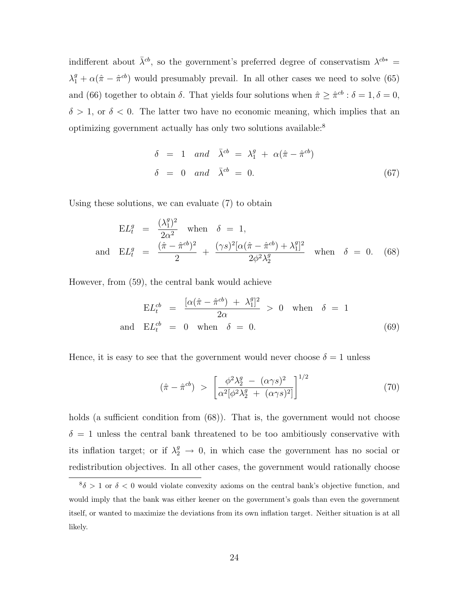indifferent about  $\bar{\lambda}^{cb}$ , so the government's preferred degree of conservatism  $\lambda^{cb*}$  =  $\lambda_1^g + \alpha(\hat{\pi} - \hat{\pi}^{cb})$  would presumably prevail. In all other cases we need to solve (65) and (66) together to obtain  $\delta$ . That yields four solutions when  $\hat{\pi} \geq \hat{\pi}^{cb}$ :  $\delta = 1, \delta = 0$ ,  $\delta > 1$ , or  $\delta < 0$ . The latter two have no economic meaning, which implies that an optimizing government actually has only two solutions available:<sup>8</sup>

$$
\delta = 1 \quad and \quad \bar{\lambda}^{cb} = \lambda_1^g + \alpha(\hat{\pi} - \hat{\pi}^{cb})
$$
  
\n
$$
\delta = 0 \quad and \quad \bar{\lambda}^{cb} = 0.
$$
 (67)

Using these solutions, we can evaluate (7) to obtain

$$
EL_t^g = \frac{(\lambda_1^g)^2}{2\alpha^2} \text{ when } \delta = 1,
$$
  
and 
$$
EL_t^g = \frac{(\hat{\pi} - \hat{\pi}^{cb})^2}{2} + \frac{(\gamma s)^2 [\alpha(\hat{\pi} - \hat{\pi}^{cb}) + \lambda_1^g]^2}{2\phi^2 \lambda_2^g} \text{ when } \delta = 0.
$$
 (68)

However, from (59), the central bank would achieve

$$
EL_t^{cb} = \frac{[\alpha(\hat{\pi} - \hat{\pi}^{cb}) + \lambda_1^g]^2}{2\alpha} > 0 \quad \text{when} \quad \delta = 1
$$
  
and 
$$
EL_t^{cb} = 0 \quad \text{when} \quad \delta = 0.
$$
 (69)

Hence, it is easy to see that the government would never choose  $\delta = 1$  unless

$$
(\hat{\pi} - \hat{\pi}^{cb}) > \left[ \frac{\phi^2 \lambda_2^g - (\alpha \gamma s)^2}{\alpha^2 [\phi^2 \lambda_2^g + (\alpha \gamma s)^2]} \right]^{1/2}
$$
\n(70)

holds (a sufficient condition from  $(68)$ ). That is, the government would not choose  $\delta = 1$  unless the central bank threatened to be too ambitiously conservative with its inflation target; or if  $\lambda_2^g \rightarrow 0$ , in which case the government has no social or redistribution objectives. In all other cases, the government would rationally choose

 $8\delta > 1$  or  $\delta < 0$  would violate convexity axioms on the central bank's objective function, and would imply that the bank was either keener on the government's goals than even the government itself, or wanted to maximize the deviations from its own inflation target. Neither situation is at all likely.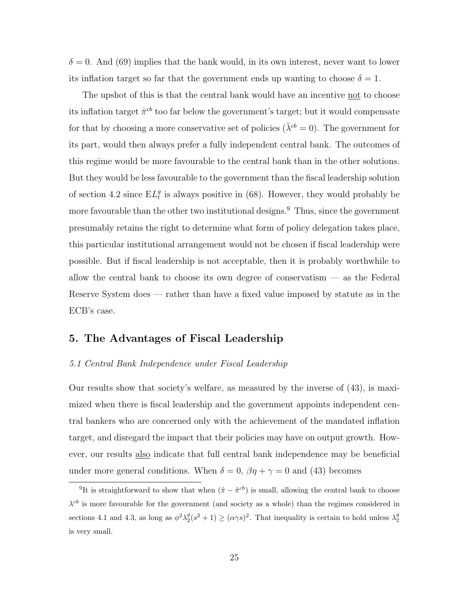$\delta = 0$ . And (69) implies that the bank would, in its own interest, never want to lower its inflation target so far that the government ends up wanting to choose  $\delta = 1$ .

The upshot of this is that the central bank would have an incentive not to choose its inflation target  $\hat{\pi}^{cb}$  too far below the government's target; but it would compensate for that by choosing a more conservative set of policies ( $\bar{\lambda}^{cb} = 0$ ). The government for its part, would then always prefer a fully independent central bank. The outcomes of this regime would be more favourable to the central bank than in the other solutions. But they would be less favourable to the government than the fiscal leadership solution of section 4.2 since  $EL_t^g$  is always positive in (68). However, they would probably be more favourable than the other two institutional designs.<sup>9</sup> Thus, since the government presumably retains the right to determine what form of policy delegation takes place, this particular institutional arrangement would not be chosen if fiscal leadership were possible. But if fiscal leadership is not acceptable, then it is probably worthwhile to allow the central bank to choose its own degree of conservatism — as the Federal Reserve System does — rather than have a fixed value imposed by statute as in the ECB's case.

#### **5. The Advantages of Fiscal Leadership**

#### 5.1 Central Bank Independence under Fiscal Leadership

Our results show that society's welfare, as measured by the inverse of (43), is maximized when there is fiscal leadership and the government appoints independent central bankers who are concerned only with the achievement of the mandated inflation target, and disregard the impact that their policies may have on output growth. However, our results also indicate that full central bank independence may be beneficial under more general conditions. When  $\delta = 0$ ,  $\beta \eta + \gamma = 0$  and (43) becomes

<sup>&</sup>lt;sup>9</sup>It is straightforward to show that when  $(\hat{\pi} - \hat{\pi}^{cb})$  is small, allowing the central bank to choose  $\lambda^{cb}$  is more favourable for the government (and society as a whole) than the regimes considered in sections 4.1 and 4.3, as long as  $\phi^2 \lambda_2^g(s^2+1) \geq (\alpha \gamma s)^2$ . That inequality is certain to hold unless  $\lambda_2^g$ is very small.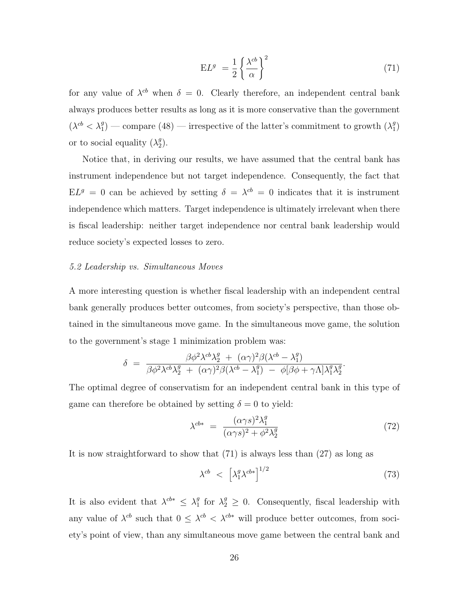$$
EL^{g} = \frac{1}{2} \left\{ \frac{\lambda^{cb}}{\alpha} \right\}^{2}
$$
 (71)

for any value of  $\lambda^{cb}$  when  $\delta = 0$ . Clearly therefore, an independent central bank always produces better results as long as it is more conservative than the government  $(\lambda^{cb} < \lambda_1^g)$  — compare (48) — irrespective of the latter's commitment to growth  $(\lambda_1^g)$ or to social equality  $(\lambda_2^g)$ .

Notice that, in deriving our results, we have assumed that the central bank has instrument independence but not target independence. Consequently, the fact that  $E L^{g} = 0$  can be achieved by setting  $\delta = \lambda^{cb} = 0$  indicates that it is instrument independence which matters. Target independence is ultimately irrelevant when there is fiscal leadership: neither target independence nor central bank leadership would reduce society's expected losses to zero.

#### 5.2 Leadership vs. Simultaneous Moves

A more interesting question is whether fiscal leadership with an independent central bank generally produces better outcomes, from society's perspective, than those obtained in the simultaneous move game. In the simultaneous move game, the solution to the government's stage 1 minimization problem was:

$$
\delta = \frac{\beta \phi^2 \lambda^{cb} \lambda_2^g + (\alpha \gamma)^2 \beta (\lambda^{cb} - \lambda_1^g)}{\beta \phi^2 \lambda^{cb} \lambda_2^g + (\alpha \gamma)^2 \beta (\lambda^{cb} - \lambda_1^g) - \phi [\beta \phi + \gamma \Lambda] \lambda_1^g \lambda_2^g}.
$$

The optimal degree of conservatism for an independent central bank in this type of game can therefore be obtained by setting  $\delta = 0$  to yield:

$$
\lambda^{cb*} = \frac{(\alpha \gamma s)^2 \lambda_1^g}{(\alpha \gamma s)^2 + \phi^2 \lambda_2^g}
$$
\n(72)

It is now straightforward to show that (71) is always less than (27) as long as

$$
\lambda^{cb} \ \leq \ \left[ \lambda_1^g \lambda^{cb*} \right]^{1/2} \tag{73}
$$

It is also evident that  $\lambda^{cb*} \leq \lambda_1^g$  for  $\lambda_2^g \geq 0$ . Consequently, fiscal leadership with any value of  $\lambda^{cb}$  such that  $0 \leq \lambda^{cb} < \lambda^{cb*}$  will produce better outcomes, from society's point of view, than any simultaneous move game between the central bank and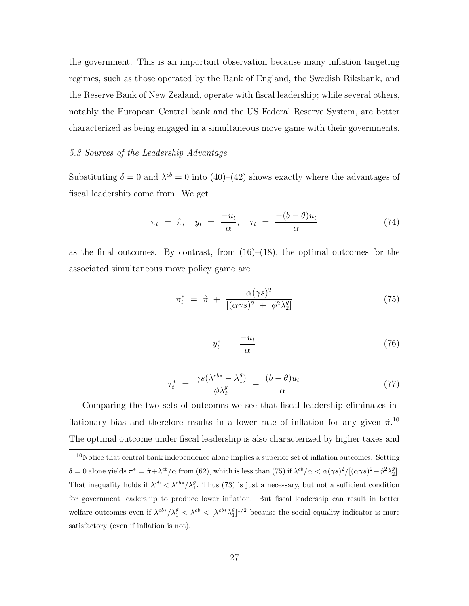the government. This is an important observation because many inflation targeting regimes, such as those operated by the Bank of England, the Swedish Riksbank, and the Reserve Bank of New Zealand, operate with fiscal leadership; while several others, notably the European Central bank and the US Federal Reserve System, are better characterized as being engaged in a simultaneous move game with their governments.

#### 5.3 Sources of the Leadership Advantage

Substituting  $\delta = 0$  and  $\lambda^{cb} = 0$  into (40)–(42) shows exactly where the advantages of fiscal leadership come from. We get

$$
\pi_t = \hat{\pi}, \quad y_t = \frac{-u_t}{\alpha}, \quad \tau_t = \frac{-(b-\theta)u_t}{\alpha} \tag{74}
$$

as the final outcomes. By contrast, from  $(16)$ – $(18)$ , the optimal outcomes for the associated simultaneous move policy game are

$$
\pi_t^* = \hat{\pi} + \frac{\alpha(\gamma s)^2}{[(\alpha \gamma s)^2 + \phi^2 \lambda_2^g]}
$$
\n(75)

$$
y_t^* = \frac{-u_t}{\alpha} \tag{76}
$$

$$
\tau_t^* = \frac{\gamma s(\lambda^{cb*} - \lambda_1^g)}{\phi \lambda_2^g} - \frac{(b - \theta)u_t}{\alpha} \tag{77}
$$

Comparing the two sets of outcomes we see that fiscal leadership eliminates inflationary bias and therefore results in a lower rate of inflation for any given  $\hat{\pi}$ .<sup>10</sup> The optimal outcome under fiscal leadership is also characterized by higher taxes and

 $10$ Notice that central bank independence alone implies a superior set of inflation outcomes. Setting  $\delta = 0$  alone yields  $\pi^* = \hat{\pi} + \lambda^{cb}/\alpha$  from (62), which is less than (75) if  $\lambda^{cb}/\alpha < \alpha(\gamma s)^2/[(\alpha \gamma s)^2 + \phi^2 \lambda_2^g]$ . That inequality holds if  $\lambda^{cb} < \lambda^{cb*}/\lambda_1^g$ . Thus (73) is just a necessary, but not a sufficient condition for government leadership to produce lower inflation. But fiscal leadership can result in better welfare outcomes even if  $\lambda^{cb*}/\lambda_1^g < \lambda^{cb} < [\lambda^{cb*}\lambda_1^g]^{1/2}$  because the social equality indicator is more satisfactory (even if inflation is not).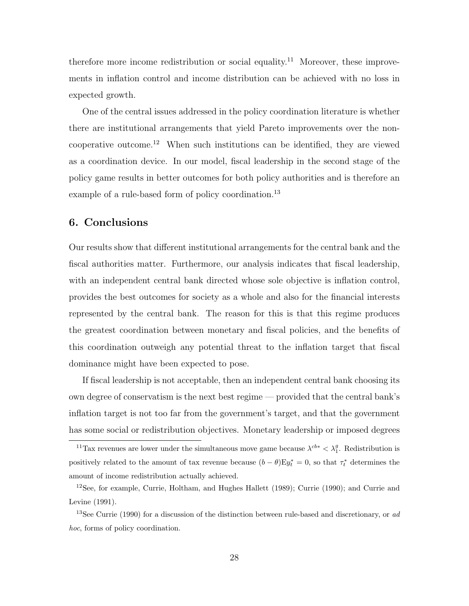therefore more income redistribution or social equality.<sup>11</sup> Moreover, these improvements in inflation control and income distribution can be achieved with no loss in expected growth.

One of the central issues addressed in the policy coordination literature is whether there are institutional arrangements that yield Pareto improvements over the noncooperative outcome.<sup>12</sup> When such institutions can be identified, they are viewed as a coordination device. In our model, fiscal leadership in the second stage of the policy game results in better outcomes for both policy authorities and is therefore an example of a rule-based form of policy coordination.<sup>13</sup>

#### **6. Conclusions**

Our results show that different institutional arrangements for the central bank and the fiscal authorities matter. Furthermore, our analysis indicates that fiscal leadership, with an independent central bank directed whose sole objective is inflation control, provides the best outcomes for society as a whole and also for the financial interests represented by the central bank. The reason for this is that this regime produces the greatest coordination between monetary and fiscal policies, and the benefits of this coordination outweigh any potential threat to the inflation target that fiscal dominance might have been expected to pose.

If fiscal leadership is not acceptable, then an independent central bank choosing its own degree of conservatism is the next best regime — provided that the central bank's inflation target is not too far from the government's target, and that the government has some social or redistribution objectives. Monetary leadership or imposed degrees

<sup>&</sup>lt;sup>11</sup>Tax revenues are lower under the simultaneous move game because  $\lambda^{cb*} < \lambda_1^g$ . Redistribution is positively related to the amount of tax revenue because  $(b - \theta)Ey_t^* = 0$ , so that  $\tau_t^*$  determines the amount of income redistribution actually achieved.

 $12$ See, for example, Currie, Holtham, and Hughes Hallett (1989); Currie (1990); and Currie and Levine (1991).

<sup>&</sup>lt;sup>13</sup>See Currie (1990) for a discussion of the distinction between rule-based and discretionary, or ad hoc, forms of policy coordination.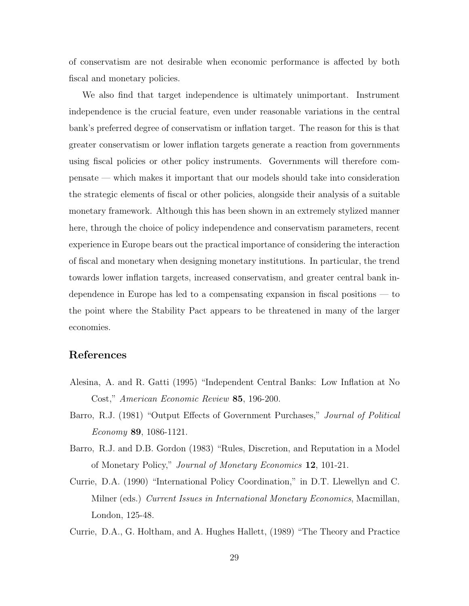of conservatism are not desirable when economic performance is affected by both fiscal and monetary policies.

We also find that target independence is ultimately unimportant. Instrument independence is the crucial feature, even under reasonable variations in the central bank's preferred degree of conservatism or inflation target. The reason for this is that greater conservatism or lower inflation targets generate a reaction from governments using fiscal policies or other policy instruments. Governments will therefore compensate — which makes it important that our models should take into consideration the strategic elements of fiscal or other policies, alongside their analysis of a suitable monetary framework. Although this has been shown in an extremely stylized manner here, through the choice of policy independence and conservatism parameters, recent experience in Europe bears out the practical importance of considering the interaction of fiscal and monetary when designing monetary institutions. In particular, the trend towards lower inflation targets, increased conservatism, and greater central bank independence in Europe has led to a compensating expansion in fiscal positions — to the point where the Stability Pact appears to be threatened in many of the larger economies.

#### **References**

- Alesina, A. and R. Gatti (1995) "Independent Central Banks: Low Inflation at No Cost," American Economic Review **85**, 196-200.
- Barro, R.J. (1981) "Output Effects of Government Purchases," Journal of Political Economy **89**, 1086-1121.
- Barro, R.J. and D.B. Gordon (1983) "Rules, Discretion, and Reputation in a Model of Monetary Policy," Journal of Monetary Economics **12**, 101-21.
- Currie, D.A. (1990) "International Policy Coordination," in D.T. Llewellyn and C. Milner (eds.) Current Issues in International Monetary Economics, Macmillan, London, 125-48.
- Currie, D.A., G. Holtham, and A. Hughes Hallett, (1989) "The Theory and Practice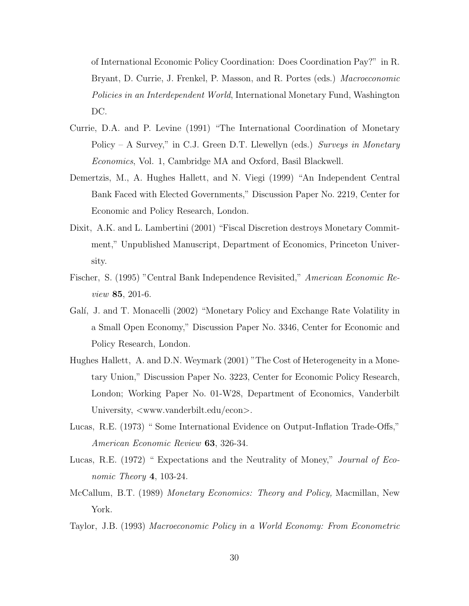of International Economic Policy Coordination: Does Coordination Pay?" in R. Bryant, D. Currie, J. Frenkel, P. Masson, and R. Portes (eds.) Macroeconomic Policies in an Interdependent World, International Monetary Fund, Washington DC.

- Currie, D.A. and P. Levine (1991) "The International Coordination of Monetary Policy – A Survey," in C.J. Green D.T. Llewellyn (eds.) Surveys in Monetary Economics, Vol. 1, Cambridge MA and Oxford, Basil Blackwell.
- Demertzis, M., A. Hughes Hallett, and N. Viegi (1999) "An Independent Central Bank Faced with Elected Governments," Discussion Paper No. 2219, Center for Economic and Policy Research, London.
- Dixit, A.K. and L. Lambertini (2001) "Fiscal Discretion destroys Monetary Commitment," Unpublished Manuscript, Department of Economics, Princeton University.
- Fischer, S. (1995) "Central Bank Independence Revisited," American Economic Review **85**, 201-6.
- Galí, J. and T. Monacelli (2002) "Monetary Policy and Exchange Rate Volatility in a Small Open Economy," Discussion Paper No. 3346, Center for Economic and Policy Research, London.
- Hughes Hallett, A. and D.N. Weymark (2001) "The Cost of Heterogeneity in a Monetary Union," Discussion Paper No. 3223, Center for Economic Policy Research, London; Working Paper No. 01-W28, Department of Economics, Vanderbilt University,  $\langle$ www.vanderbilt.edu/econ $\rangle$ .
- Lucas, R.E. (1973) " Some International Evidence on Output-Inflation Trade-Offs," American Economic Review **63**, 326-34.
- Lucas, R.E. (1972) " Expectations and the Neutrality of Money," Journal of Economic Theory **4**, 103-24.
- McCallum, B.T. (1989) Monetary Economics: Theory and Policy, Macmillan, New York.
- Taylor, J.B. (1993) Macroeconomic Policy in a World Economy: From Econometric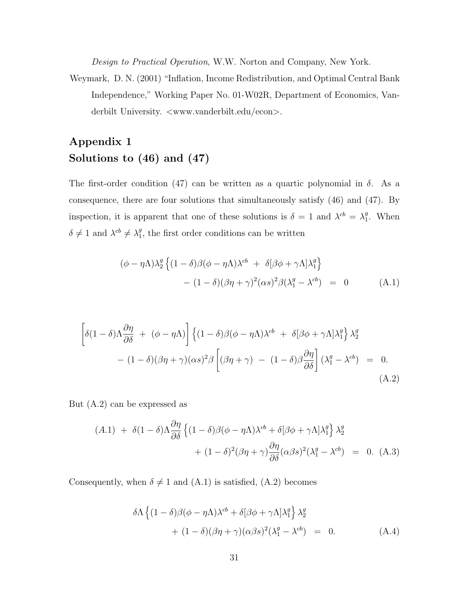Design to Practical Operation, W.W. Norton and Company, New York.

Weymark, D. N. (2001) "Inflation, Income Redistribution, and Optimal Central Bank Independence," Working Paper No. 01-W02R, Department of Economics, Vanderbilt University.  $\langle$ www.vanderbilt.edu/econ $\rangle$ .

## **Appendix 1 Solutions to (46) and (47)**

The first-order condition (47) can be written as a quartic polynomial in  $\delta$ . As a consequence, there are four solutions that simultaneously satisfy (46) and (47). By inspection, it is apparent that one of these solutions is  $\delta = 1$  and  $\lambda^{cb} = \lambda_1^g$ . When  $\delta \neq 1$  and  $\lambda^{cb} \neq \lambda_1^g$ , the first order conditions can be written

$$
(\phi - \eta \Lambda) \lambda_2^g \left\{ (1 - \delta) \beta (\phi - \eta \Lambda) \lambda^{cb} + \delta [\beta \phi + \gamma \Lambda] \lambda_1^g \right\}
$$

$$
- (1 - \delta) (\beta \eta + \gamma)^2 (\alpha s)^2 \beta (\lambda_1^g - \lambda^{cb}) = 0 \qquad (A.1)
$$

$$
\left[\delta(1-\delta)\Lambda\frac{\partial\eta}{\partial\delta} + (\phi-\eta\Lambda)\right] \left\{(1-\delta)\beta(\phi-\eta\Lambda)\lambda^{cb} + \delta[\beta\phi+\gamma\Lambda]\lambda_1^g\right\}\lambda_2^g
$$
  
 
$$
- (1-\delta)(\beta\eta+\gamma)(\alpha s)^2\beta \left[(\beta\eta+\gamma) - (1-\delta)\beta\frac{\partial\eta}{\partial\delta}\right](\lambda_1^g-\lambda^{cb}) = 0.
$$
 (A.2)

But (A.2) can be expressed as

$$
(A.1) + \delta(1 - \delta)\Lambda \frac{\partial \eta}{\partial \delta} \left\{ (1 - \delta)\beta(\phi - \eta\Lambda)\lambda^{cb} + \delta[\beta\phi + \gamma\Lambda]\lambda_1^g \right\} \lambda_2^g
$$

$$
+ (1 - \delta)^2(\beta\eta + \gamma)\frac{\partial \eta}{\partial \delta}(\alpha\beta s)^2(\lambda_1^g - \lambda^{cb}) = 0. \quad (A.3)
$$

Consequently, when  $\delta \neq 1$  and  $(A.1)$  is satisfied,  $(A.2)$  becomes

$$
\delta \Lambda \left\{ (1 - \delta) \beta (\phi - \eta \Lambda) \lambda^{cb} + \delta [\beta \phi + \gamma \Lambda] \lambda_1^g \right\} \lambda_2^g
$$
  
+ 
$$
(1 - \delta) (\beta \eta + \gamma) (\alpha \beta s)^2 (\lambda_1^g - \lambda^{cb}) = 0.
$$
 (A.4)